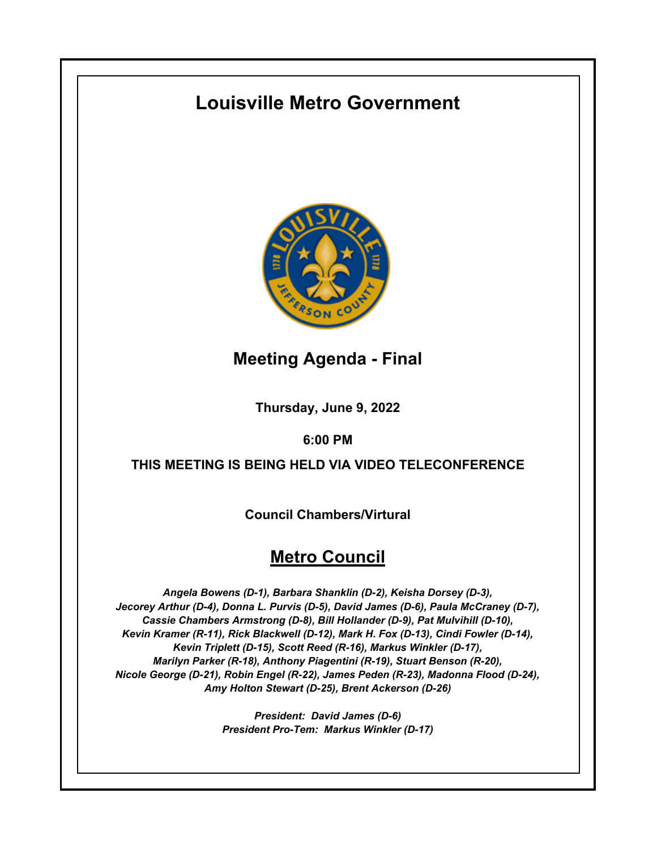# **Louisville Metro Government**



## **Meeting Agenda - Final**

**Thursday, June 9, 2022**

### **6:00 PM**

## **THIS MEETING IS BEING HELD VIA VIDEO TELECONFERENCE**

**Council Chambers/Virtural**

## **Metro Council**

*Angela Bowens (D-1), Barbara Shanklin (D-2), Keisha Dorsey (D-3), Jecorey Arthur (D-4), Donna L. Purvis (D-5), David James (D-6), Paula McCraney (D-7), Cassie Chambers Armstrong (D-8), Bill Hollander (D-9), Pat Mulvihill (D-10), Kevin Kramer (R-11), Rick Blackwell (D-12), Mark H. Fox (D-13), Cindi Fowler (D-14), Kevin Triplett (D-15), Scott Reed (R-16), Markus Winkler (D-17), Marilyn Parker (R-18), Anthony Piagentini (R-19), Stuart Benson (R-20), Nicole George (D-21), Robin Engel (R-22), James Peden (R-23), Madonna Flood (D-24), Amy Holton Stewart (D-25), Brent Ackerson (D-26)*

> *President: David James (D-6) President Pro-Tem: Markus Winkler (D-17)*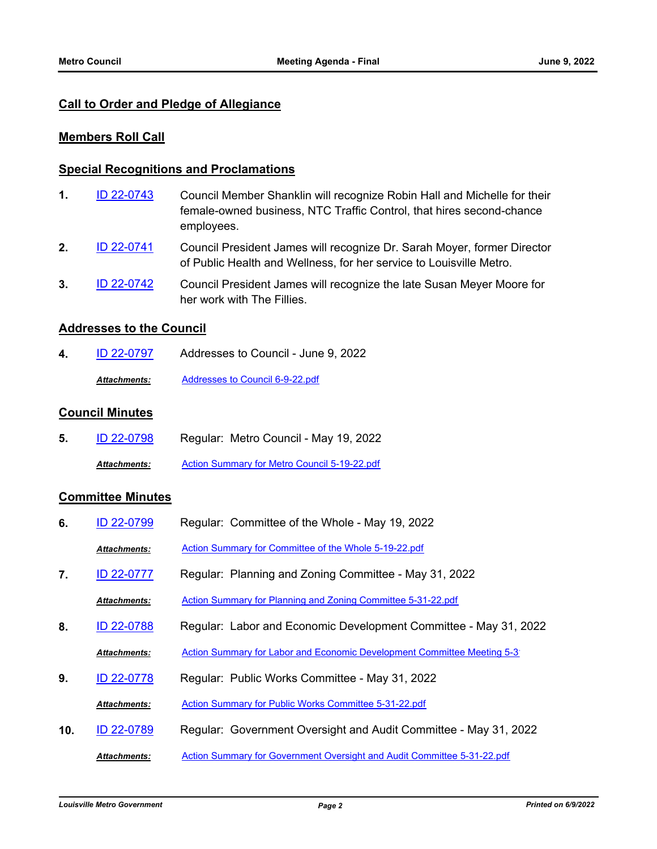### **Call to Order and Pledge of Allegiance**

### **Members Roll Call**

#### **Special Recognitions and Proclamations**

- Council Member Shanklin will recognize Robin Hall and Michelle for their female-owned business, NTC Traffic Control, that hires second-chance employees. **1.** [ID 22-0743](http://louisville.legistar.com/gateway.aspx?m=l&id=/matter.aspx?key=60349)
- Council President James will recognize Dr. Sarah Moyer, former Director of Public Health and Wellness, for her service to Louisville Metro. **2.** [ID 22-0741](http://louisville.legistar.com/gateway.aspx?m=l&id=/matter.aspx?key=60347)
- Council President James will recognize the late Susan Meyer Moore for her work with The Fillies. **3.** [ID 22-0742](http://louisville.legistar.com/gateway.aspx?m=l&id=/matter.aspx?key=60348)

#### **Addresses to the Council**

**4.** [ID 22-0797](http://louisville.legistar.com/gateway.aspx?m=l&id=/matter.aspx?key=60667) Addresses to Council - June 9, 2022 *Attachments:* [Addresses to Council 6-9-22.pdf](http://louisville.legistar.com/gateway.aspx?M=F&ID=0ffd4788-5f32-48bf-b403-1d904e542ce9.pdf)

#### **Council Minutes**

**5.** [ID 22-0798](http://louisville.legistar.com/gateway.aspx?m=l&id=/matter.aspx?key=60668) Regular: Metro Council - May 19, 2022 *Attachments:* [Action Summary for Metro Council 5-19-22.pdf](http://louisville.legistar.com/gateway.aspx?M=F&ID=b2b52082-d5e4-4c4d-85d3-701f1f93606e.pdf)

### **Committee Minutes**

**6.** [ID 22-0799](http://louisville.legistar.com/gateway.aspx?m=l&id=/matter.aspx?key=60669) Regular: Committee of the Whole - May 19, 2022 *Attachments:* [Action Summary for Committee of the Whole 5-19-22.pdf](http://louisville.legistar.com/gateway.aspx?M=F&ID=2476b22e-e284-4208-b195-5459fdbd0e7b.pdf) **7.** [ID 22-0777](http://louisville.legistar.com/gateway.aspx?m=l&id=/matter.aspx?key=60457) Regular: Planning and Zoning Committee - May 31, 2022 *Attachments:* [Action Summary for Planning and Zoning Committee 5-31-22.pdf](http://louisville.legistar.com/gateway.aspx?M=F&ID=e42331e8-ada9-453a-80e3-dcb5b0efaab6.pdf) **8.** [ID 22-0788](http://louisville.legistar.com/gateway.aspx?m=l&id=/matter.aspx?key=60658) Regular: Labor and Economic Development Committee - May 31, 2022 Attachments: Action Summary for Labor and Economic Development Committee Meeting 5-3<sup>1</sup> **9.** [ID 22-0778](http://louisville.legistar.com/gateway.aspx?m=l&id=/matter.aspx?key=60458) Regular: Public Works Committee - May 31, 2022 *Attachments:* [Action Summary for Public Works Committee 5-31-22.pdf](http://louisville.legistar.com/gateway.aspx?M=F&ID=079aa011-e38b-454a-8ad9-59a73cb19361.pdf) **10.** [ID 22-0789](http://louisville.legistar.com/gateway.aspx?m=l&id=/matter.aspx?key=60659) Regular: Government Oversight and Audit Committee - May 31, 2022 *Attachments:* [Action Summary for Government Oversight and Audit Committee 5-31-22.pdf](http://louisville.legistar.com/gateway.aspx?M=F&ID=079e312d-f065-43bb-9839-479a4894d421.pdf)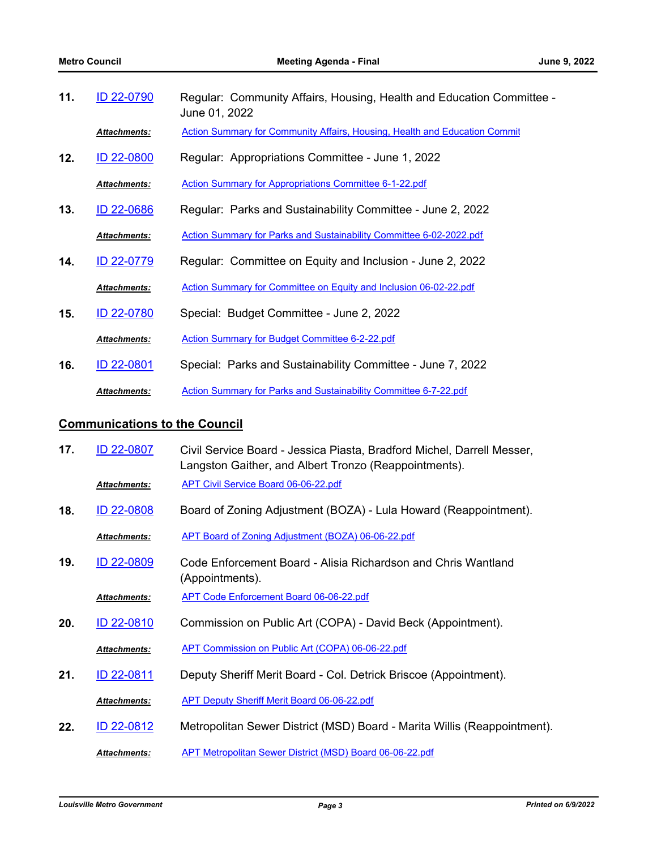| 11. | <b>ID 22-0790</b>   | Regular: Community Affairs, Housing, Health and Education Committee -<br>June 01, 2022 |
|-----|---------------------|----------------------------------------------------------------------------------------|
|     | <b>Attachments:</b> | <b>Action Summary for Community Affairs, Housing, Health and Education Commit</b>      |

**12.** [ID 22-0800](http://louisville.legistar.com/gateway.aspx?m=l&id=/matter.aspx?key=60670) Regular: Appropriations Committee - June 1, 2022

*Attachments:* [Action Summary for Appropriations Committee 6-1-22.pdf](http://louisville.legistar.com/gateway.aspx?M=F&ID=6bc09599-a5bb-4af9-9875-e2cb88a6d80c.pdf)

**13.** [ID 22-0686](http://louisville.legistar.com/gateway.aspx?m=l&id=/matter.aspx?key=60289) Regular: Parks and Sustainability Committee - June 2, 2022

*Attachments:* [Action Summary for Parks and Sustainability Committee 6-02-2022.pdf](http://louisville.legistar.com/gateway.aspx?M=F&ID=b959f6a4-ffc9-436e-b30d-25af0ff62ed9.pdf)

- **14.** [ID 22-0779](http://louisville.legistar.com/gateway.aspx?m=l&id=/matter.aspx?key=60511) Regular: Committee on Equity and Inclusion June 2, 2022
- 
- *Attachments:* [Action Summary for Committee on Equity and Inclusion 06-02-22.pdf](http://louisville.legistar.com/gateway.aspx?M=F&ID=cbfd5afd-b3e4-4460-9914-31ff17173d90.pdf)
- **15.** [ID 22-0780](http://louisville.legistar.com/gateway.aspx?m=l&id=/matter.aspx?key=60512) Special: Budget Committee June 2, 2022

*Attachments:* [Action Summary for Budget Committee 6-2-22.pdf](http://louisville.legistar.com/gateway.aspx?M=F&ID=9cee666d-8327-47ad-bfa7-0f50292c3570.pdf)

**16.** [ID 22-0801](http://louisville.legistar.com/gateway.aspx?m=l&id=/matter.aspx?key=60671) Special: Parks and Sustainability Committee - June 7, 2022

*Attachments:* [Action Summary for Parks and Sustainability Committee 6-7-22.pdf](http://louisville.legistar.com/gateway.aspx?M=F&ID=9935bcb1-1c42-4027-a14f-24689e602384.pdf)

#### **Communications to the Council**

| 17. | ID 22-0807          | Civil Service Board - Jessica Piasta, Bradford Michel, Darrell Messer,<br>Langston Gaither, and Albert Tronzo (Reappointments). |
|-----|---------------------|---------------------------------------------------------------------------------------------------------------------------------|
|     | Attachments:        | APT Civil Service Board 06-06-22.pdf                                                                                            |
| 18. | <b>ID 22-0808</b>   | Board of Zoning Adjustment (BOZA) - Lula Howard (Reappointment).                                                                |
|     | Attachments:        | APT Board of Zoning Adjustment (BOZA) 06-06-22.pdf                                                                              |
| 19. | ID 22-0809          | Code Enforcement Board - Alisia Richardson and Chris Wantland<br>(Appointments).                                                |
|     | Attachments:        | <b>APT Code Enforcement Board 06-06-22.pdf</b>                                                                                  |
| 20. | <b>ID 22-0810</b>   | Commission on Public Art (COPA) - David Beck (Appointment).                                                                     |
|     | Attachments:        | APT Commission on Public Art (COPA) 06-06-22.pdf                                                                                |
| 21. | ID 22-0811          | Deputy Sheriff Merit Board - Col. Detrick Briscoe (Appointment).                                                                |
|     | Attachments:        | <b>APT Deputy Sheriff Merit Board 06-06-22.pdf</b>                                                                              |
| 22. | <b>ID 22-0812</b>   | Metropolitan Sewer District (MSD) Board - Marita Willis (Reappointment).                                                        |
|     | <b>Attachments:</b> | <b>APT Metropolitan Sewer District (MSD) Board 06-06-22.pdf</b>                                                                 |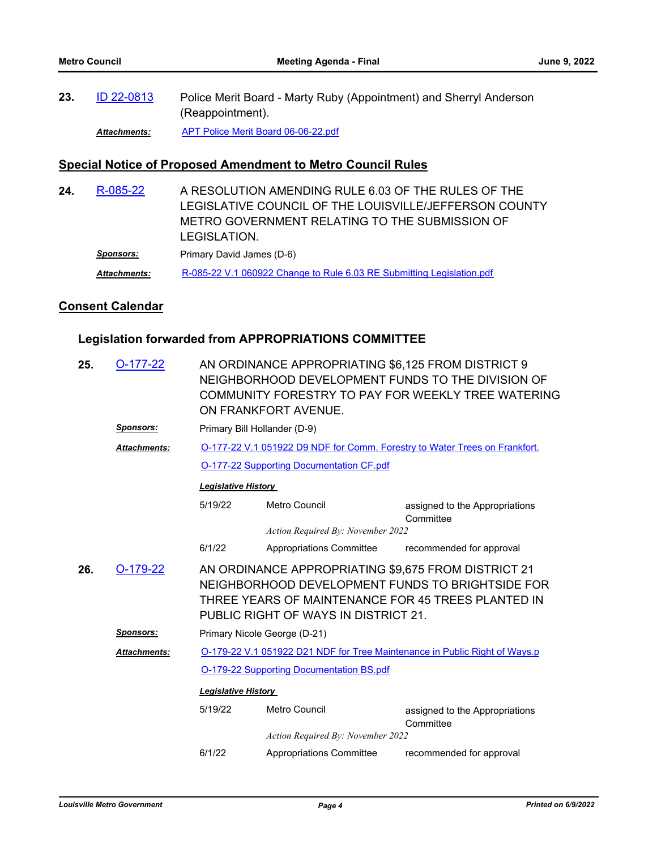Police Merit Board - Marty Ruby (Appointment) and Sherryl Anderson (Reappointment). **23.** [ID 22-0813](http://louisville.legistar.com/gateway.aspx?m=l&id=/matter.aspx?key=60683)

*Attachments:* [APT Police Merit Board 06-06-22.pdf](http://louisville.legistar.com/gateway.aspx?M=F&ID=1327e7a8-b23d-444c-89ba-0265c6f7dffc.pdf)

### **Special Notice of Proposed Amendment to Metro Council Rules**

A RESOLUTION AMENDING RULE 6.03 OF THE RULES OF THE LEGISLATIVE COUNCIL OF THE LOUISVILLE/JEFFERSON COUNTY METRO GOVERNMENT RELATING TO THE SUBMISSION OF LEGISLATION. **24.** [R-085-22](http://louisville.legistar.com/gateway.aspx?m=l&id=/matter.aspx?key=60692) **Sponsors:** Primary David James (D-6) *Attachments:* [R-085-22 V.1 060922 Change to Rule 6.03 RE Submitting Legislation.pdf](http://louisville.legistar.com/gateway.aspx?M=F&ID=8cb66299-1e9a-425d-9e3a-baaad2474ab6.pdf)

### **Consent Calendar**

## **Legislation forwarded from APPROPRIATIONS COMMITTEE**

| 25. | $O-177-22$          | AN ORDINANCE APPROPRIATING \$6,125 FROM DISTRICT 9<br>NEIGHBORHOOD DEVELOPMENT FUNDS TO THE DIVISION OF<br>COMMUNITY FORESTRY TO PAY FOR WEEKLY TREE WATERING<br>ON FRANKFORT AVENUE.                 |                                          |                                                                            |  |  |  |
|-----|---------------------|-------------------------------------------------------------------------------------------------------------------------------------------------------------------------------------------------------|------------------------------------------|----------------------------------------------------------------------------|--|--|--|
|     | <b>Sponsors:</b>    |                                                                                                                                                                                                       | Primary Bill Hollander (D-9)             |                                                                            |  |  |  |
|     | <b>Attachments:</b> |                                                                                                                                                                                                       |                                          | O-177-22 V.1 051922 D9 NDF for Comm. Forestry to Water Trees on Frankfort. |  |  |  |
|     |                     |                                                                                                                                                                                                       | O-177-22 Supporting Documentation CF.pdf |                                                                            |  |  |  |
|     |                     | <b>Legislative History</b>                                                                                                                                                                            |                                          |                                                                            |  |  |  |
|     |                     | 5/19/22                                                                                                                                                                                               | Metro Council                            | assigned to the Appropriations<br>Committee                                |  |  |  |
|     |                     |                                                                                                                                                                                                       | Action Required By: November 2022        |                                                                            |  |  |  |
|     |                     | 6/1/22                                                                                                                                                                                                | Appropriations Committee                 | recommended for approval                                                   |  |  |  |
| 26. | $O-179-22$          | AN ORDINANCE APPROPRIATING \$9,675 FROM DISTRICT 21<br>NEIGHBORHOOD DEVELOPMENT FUNDS TO BRIGHTSIDE FOR<br>THREE YEARS OF MAINTENANCE FOR 45 TREES PLANTED IN<br>PUBLIC RIGHT OF WAYS IN DISTRICT 21. |                                          |                                                                            |  |  |  |
|     | <u>Sponsors:</u>    | Primary Nicole George (D-21)                                                                                                                                                                          |                                          |                                                                            |  |  |  |
|     | Attachments:        | O-179-22 V.1 051922 D21 NDF for Tree Maintenance in Public Right of Ways.p                                                                                                                            |                                          |                                                                            |  |  |  |
|     |                     | O-179-22 Supporting Documentation BS.pdf                                                                                                                                                              |                                          |                                                                            |  |  |  |
|     |                     | <b>Legislative History</b>                                                                                                                                                                            |                                          |                                                                            |  |  |  |
|     |                     | 5/19/22                                                                                                                                                                                               | Metro Council                            | assigned to the Appropriations<br>Committee                                |  |  |  |
|     |                     |                                                                                                                                                                                                       | Action Required By: November 2022        |                                                                            |  |  |  |
|     |                     | 6/1/22                                                                                                                                                                                                | <b>Appropriations Committee</b>          | recommended for approval                                                   |  |  |  |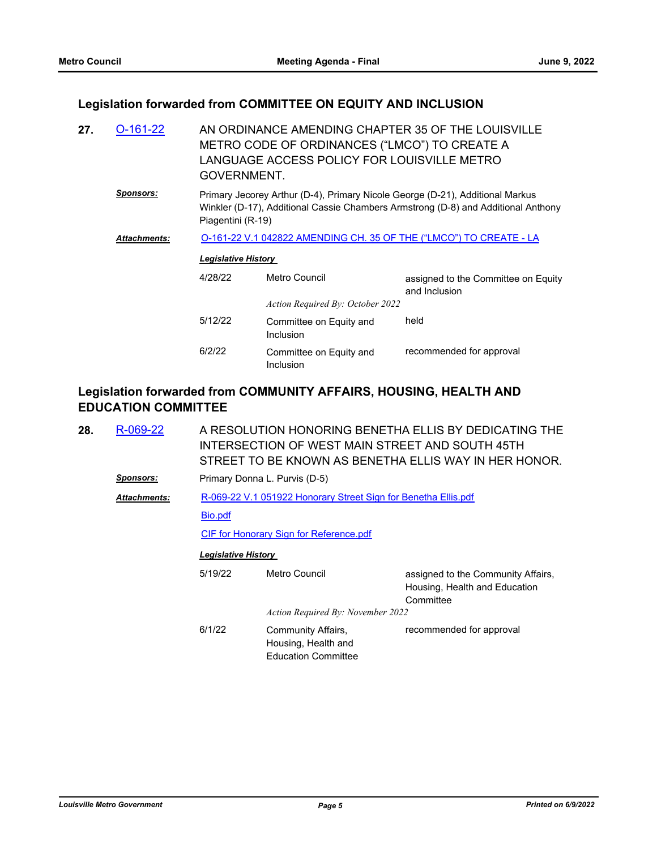## **Legislation forwarded from COMMITTEE ON EQUITY AND INCLUSION**

| 27. | $O-161-22$       | AN ORDINANCE AMENDING CHAPTER 35 OF THE LOUISVILLE<br>METRO CODE OF ORDINANCES ("LMCO") TO CREATE A<br>LANGUAGE ACCESS POLICY FOR LOUISVILLE METRO<br>GOVERNMENT. |                                                                                                                                                                                         |                                                      |  |  |  |
|-----|------------------|-------------------------------------------------------------------------------------------------------------------------------------------------------------------|-----------------------------------------------------------------------------------------------------------------------------------------------------------------------------------------|------------------------------------------------------|--|--|--|
|     | <u>Sponsors:</u> |                                                                                                                                                                   | Primary Jecorey Arthur (D-4), Primary Nicole George (D-21), Additional Markus<br>Winkler (D-17), Additional Cassie Chambers Armstrong (D-8) and Additional Anthony<br>Piagentini (R-19) |                                                      |  |  |  |
|     | Attachments:     | <u>O-161-22 V.1 042822 AMENDING CH. 35 OF THE ("LMCO") TO CREATE - LA</u>                                                                                         |                                                                                                                                                                                         |                                                      |  |  |  |
|     |                  | <b>Legislative History</b>                                                                                                                                        |                                                                                                                                                                                         |                                                      |  |  |  |
|     |                  | 4/28/22                                                                                                                                                           | Metro Council                                                                                                                                                                           | assigned to the Committee on Equity<br>and Inclusion |  |  |  |
|     |                  |                                                                                                                                                                   | Action Required By: October 2022                                                                                                                                                        |                                                      |  |  |  |
|     |                  | 5/12/22                                                                                                                                                           | Committee on Equity and<br><b>Inclusion</b>                                                                                                                                             | held                                                 |  |  |  |
|     |                  | 6/2/22                                                                                                                                                            | Committee on Equity and<br><b>Inclusion</b>                                                                                                                                             | recommended for approval                             |  |  |  |

## **Legislation forwarded from COMMUNITY AFFAIRS, HOUSING, HEALTH AND EDUCATION COMMITTEE**

| 28. | R-069-22            | A RESOLUTION HONORING BENETHA ELLIS BY DEDICATING THE<br>INTERSECTION OF WEST MAIN STREET AND SOUTH 45TH<br>STREET TO BE KNOWN AS BENETHA ELLIS WAY IN HER HONOR. |                                                                         |                                                                                  |  |  |  |
|-----|---------------------|-------------------------------------------------------------------------------------------------------------------------------------------------------------------|-------------------------------------------------------------------------|----------------------------------------------------------------------------------|--|--|--|
|     | <u>Sponsors:</u>    | Primary Donna L. Purvis (D-5)                                                                                                                                     |                                                                         |                                                                                  |  |  |  |
|     | <b>Attachments:</b> | R-069-22 V.1 051922 Honorary Street Sign for Benetha Ellis.pdf                                                                                                    |                                                                         |                                                                                  |  |  |  |
|     |                     | Bio.pdf                                                                                                                                                           |                                                                         |                                                                                  |  |  |  |
|     |                     |                                                                                                                                                                   | CIF for Honorary Sign for Reference.pdf                                 |                                                                                  |  |  |  |
|     |                     | <b>Legislative History</b>                                                                                                                                        |                                                                         |                                                                                  |  |  |  |
|     |                     | 5/19/22                                                                                                                                                           | Metro Council                                                           | assigned to the Community Affairs,<br>Housing, Health and Education<br>Committee |  |  |  |
|     |                     |                                                                                                                                                                   | Action Required By: November 2022                                       |                                                                                  |  |  |  |
|     |                     | 6/1/22                                                                                                                                                            | Community Affairs,<br>Housing, Health and<br><b>Education Committee</b> | recommended for approval                                                         |  |  |  |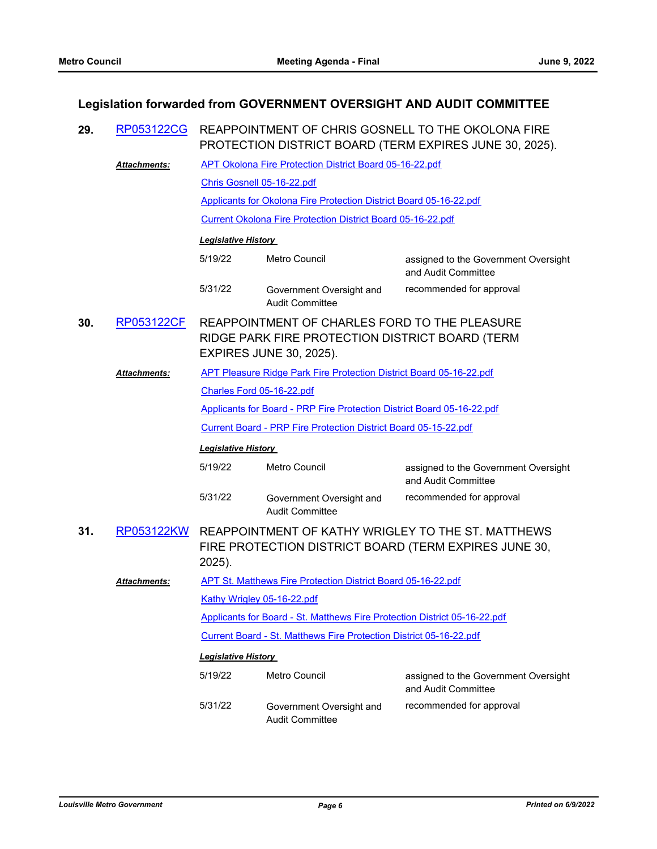## **Legislation forwarded from GOVERNMENT OVERSIGHT AND AUDIT COMMITTEE**

| 29. | RP053122CG          | REAPPOINTMENT OF CHRIS GOSNELL TO THE OKOLONA FIRE<br>PROTECTION DISTRICT BOARD (TERM EXPIRES JUNE 30, 2025).                      |                                                                           |                                                                                                             |  |
|-----|---------------------|------------------------------------------------------------------------------------------------------------------------------------|---------------------------------------------------------------------------|-------------------------------------------------------------------------------------------------------------|--|
|     | Attachments:        |                                                                                                                                    | <b>APT Okolona Fire Protection District Board 05-16-22.pdf</b>            |                                                                                                             |  |
|     |                     | Chris Gosnell 05-16-22.pdf                                                                                                         |                                                                           |                                                                                                             |  |
|     |                     |                                                                                                                                    | Applicants for Okolona Fire Protection District Board 05-16-22.pdf        |                                                                                                             |  |
|     |                     | <b>Current Okolona Fire Protection District Board 05-16-22.pdf</b>                                                                 |                                                                           |                                                                                                             |  |
|     |                     | <b>Legislative History</b>                                                                                                         |                                                                           |                                                                                                             |  |
|     |                     | 5/19/22                                                                                                                            | Metro Council                                                             | assigned to the Government Oversight<br>and Audit Committee                                                 |  |
|     |                     | 5/31/22                                                                                                                            | Government Oversight and<br><b>Audit Committee</b>                        | recommended for approval                                                                                    |  |
| 30. | <b>RP053122CF</b>   | REAPPOINTMENT OF CHARLES FORD TO THE PLEASURE<br>RIDGE PARK FIRE PROTECTION DISTRICT BOARD (TERM<br><b>EXPIRES JUNE 30, 2025).</b> |                                                                           |                                                                                                             |  |
|     | <b>Attachments:</b> |                                                                                                                                    | APT Pleasure Ridge Park Fire Protection District Board 05-16-22.pdf       |                                                                                                             |  |
|     |                     | Charles Ford 05-16-22.pdf                                                                                                          |                                                                           |                                                                                                             |  |
|     |                     |                                                                                                                                    | Applicants for Board - PRP Fire Protection District Board 05-16-22.pdf    |                                                                                                             |  |
|     |                     |                                                                                                                                    | Current Board - PRP Fire Protection District Board 05-15-22.pdf           |                                                                                                             |  |
|     |                     | <b>Legislative History</b>                                                                                                         |                                                                           |                                                                                                             |  |
|     |                     | 5/19/22                                                                                                                            | Metro Council                                                             | assigned to the Government Oversight<br>and Audit Committee                                                 |  |
|     |                     | 5/31/22                                                                                                                            | Government Oversight and<br><b>Audit Committee</b>                        | recommended for approval                                                                                    |  |
| 31. | RP053122KW          | 2025).                                                                                                                             |                                                                           | REAPPOINTMENT OF KATHY WRIGLEY TO THE ST. MATTHEWS<br>FIRE PROTECTION DISTRICT BOARD (TERM EXPIRES JUNE 30, |  |
|     | <b>Attachments:</b> |                                                                                                                                    | <b>APT St. Matthews Fire Protection District Board 05-16-22.pdf</b>       |                                                                                                             |  |
|     |                     | Kathy Wrigley 05-16-22.pdf                                                                                                         |                                                                           |                                                                                                             |  |
|     |                     |                                                                                                                                    | Applicants for Board - St. Matthews Fire Protection District 05-16-22.pdf |                                                                                                             |  |
|     |                     |                                                                                                                                    | Current Board - St. Matthews Fire Protection District 05-16-22.pdf        |                                                                                                             |  |
|     |                     | <b>Legislative History</b>                                                                                                         |                                                                           |                                                                                                             |  |
|     |                     | 5/19/22                                                                                                                            | Metro Council                                                             | assigned to the Government Oversight<br>and Audit Committee                                                 |  |
|     |                     | 5/31/22                                                                                                                            | Government Oversight and<br><b>Audit Committee</b>                        | recommended for approval                                                                                    |  |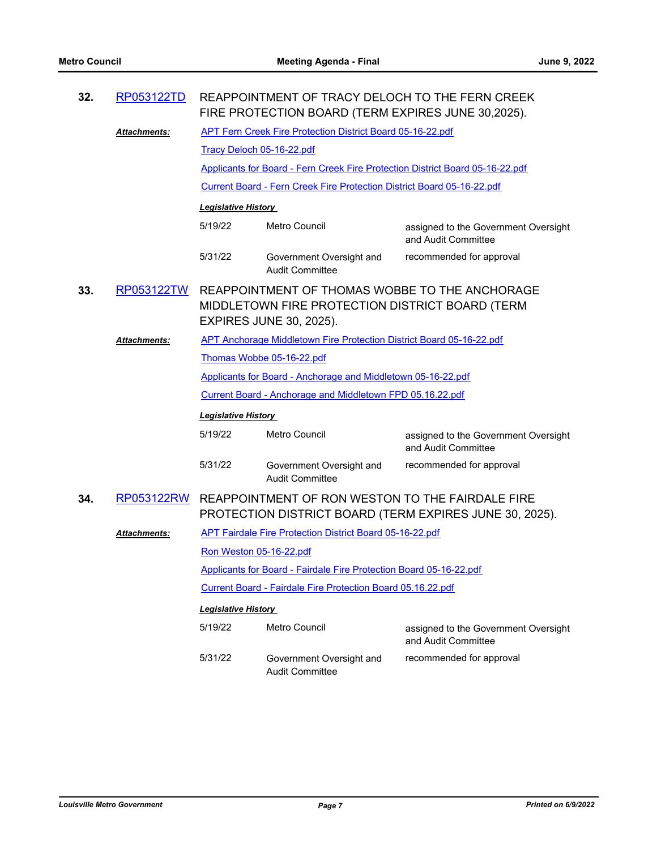| 32. | RP053122TD           | REAPPOINTMENT OF TRACY DELOCH TO THE FERN CREEK<br>FIRE PROTECTION BOARD (TERM EXPIRES JUNE 30,2025).                               |                                                                               |                                                             |  |
|-----|----------------------|-------------------------------------------------------------------------------------------------------------------------------------|-------------------------------------------------------------------------------|-------------------------------------------------------------|--|
|     | Attachments:         | <b>APT Fern Creek Fire Protection District Board 05-16-22.pdf</b>                                                                   |                                                                               |                                                             |  |
|     |                      | Tracy Deloch 05-16-22.pdf                                                                                                           |                                                                               |                                                             |  |
|     |                      |                                                                                                                                     | Applicants for Board - Fern Creek Fire Protection District Board 05-16-22.pdf |                                                             |  |
|     |                      |                                                                                                                                     | Current Board - Fern Creek Fire Protection District Board 05-16-22.pdf        |                                                             |  |
|     |                      | <b>Legislative History</b>                                                                                                          |                                                                               |                                                             |  |
|     |                      | 5/19/22                                                                                                                             | <b>Metro Council</b>                                                          | assigned to the Government Oversight<br>and Audit Committee |  |
|     |                      | 5/31/22                                                                                                                             | Government Oversight and<br><b>Audit Committee</b>                            | recommended for approval                                    |  |
| 33. | RP053122TW           | REAPPOINTMENT OF THOMAS WOBBE TO THE ANCHORAGE<br>MIDDLETOWN FIRE PROTECTION DISTRICT BOARD (TERM<br><b>EXPIRES JUNE 30, 2025).</b> |                                                                               |                                                             |  |
|     | Attachments:         | APT Anchorage Middletown Fire Protection District Board 05-16-22.pdf                                                                |                                                                               |                                                             |  |
|     |                      | Thomas Wobbe 05-16-22.pdf                                                                                                           |                                                                               |                                                             |  |
|     |                      | Applicants for Board - Anchorage and Middletown 05-16-22.pdf                                                                        |                                                                               |                                                             |  |
|     |                      | Current Board - Anchorage and Middletown FPD 05.16.22.pdf                                                                           |                                                                               |                                                             |  |
|     |                      | <b>Legislative History</b>                                                                                                          |                                                                               |                                                             |  |
|     |                      | 5/19/22                                                                                                                             | <b>Metro Council</b>                                                          | assigned to the Government Oversight<br>and Audit Committee |  |
|     |                      | 5/31/22                                                                                                                             | Government Oversight and<br><b>Audit Committee</b>                            | recommended for approval                                    |  |
| 34. | RP053122RW           |                                                                                                                                     | REAPPOINTMENT OF RON WESTON TO THE FAIRDALE FIRE                              | PROTECTION DISTRICT BOARD (TERM EXPIRES JUNE 30, 2025).     |  |
|     | <u> Attachments:</u> |                                                                                                                                     | <b>APT Fairdale Fire Protection District Board 05-16-22.pdf</b>               |                                                             |  |
|     |                      | Ron Weston 05-16-22.pdf                                                                                                             |                                                                               |                                                             |  |
|     |                      | Applicants for Board - Fairdale Fire Protection Board 05-16-22.pdf                                                                  |                                                                               |                                                             |  |
|     |                      |                                                                                                                                     | Current Board - Fairdale Fire Protection Board 05.16.22.pdf                   |                                                             |  |
|     |                      | <b>Legislative History</b>                                                                                                          |                                                                               |                                                             |  |
|     |                      | 5/19/22                                                                                                                             | Metro Council                                                                 | assigned to the Government Oversight<br>and Audit Committee |  |
|     |                      | 5/31/22                                                                                                                             | Government Oversight and<br><b>Audit Committee</b>                            | recommended for approval                                    |  |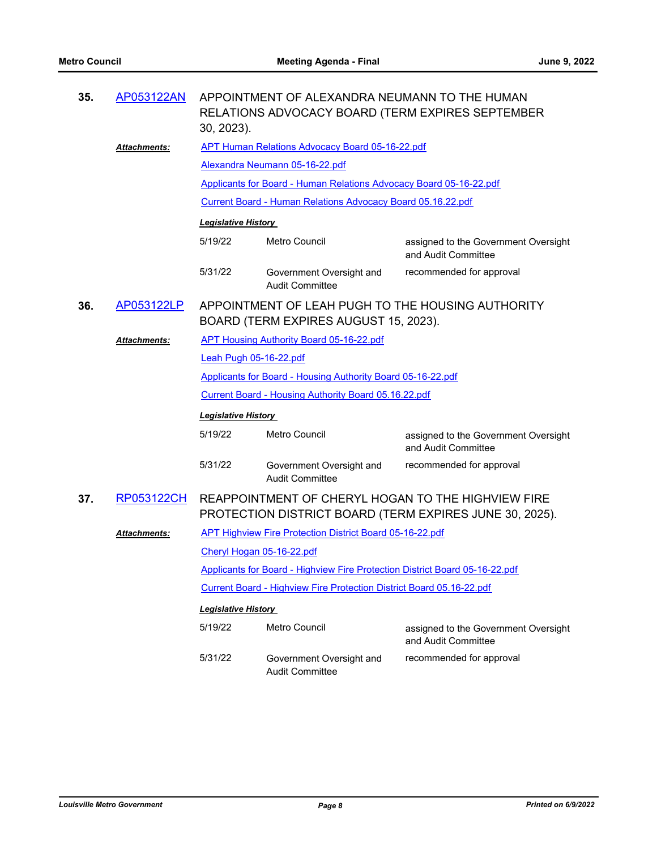| 35. | AP053122AN          | APPOINTMENT OF ALEXANDRA NEUMANN TO THE HUMAN<br>RELATIONS ADVOCACY BOARD (TERM EXPIRES SEPTEMBER<br>30, 2023). |                                                                      |                                                                                                               |  |  |
|-----|---------------------|-----------------------------------------------------------------------------------------------------------------|----------------------------------------------------------------------|---------------------------------------------------------------------------------------------------------------|--|--|
|     | <b>Attachments:</b> | <b>APT Human Relations Advocacy Board 05-16-22.pdf</b>                                                          |                                                                      |                                                                                                               |  |  |
|     |                     | Alexandra Neumann 05-16-22.pdf                                                                                  |                                                                      |                                                                                                               |  |  |
|     |                     | Applicants for Board - Human Relations Advocacy Board 05-16-22.pdf                                              |                                                                      |                                                                                                               |  |  |
|     |                     | Current Board - Human Relations Advocacy Board 05.16.22.pdf                                                     |                                                                      |                                                                                                               |  |  |
|     |                     | <b>Legislative History</b>                                                                                      |                                                                      |                                                                                                               |  |  |
|     |                     | 5/19/22                                                                                                         | Metro Council                                                        | assigned to the Government Oversight<br>and Audit Committee                                                   |  |  |
|     |                     | 5/31/22                                                                                                         | Government Oversight and<br><b>Audit Committee</b>                   | recommended for approval                                                                                      |  |  |
| 36. | AP053122LP          | APPOINTMENT OF LEAH PUGH TO THE HOUSING AUTHORITY<br>BOARD (TERM EXPIRES AUGUST 15, 2023).                      |                                                                      |                                                                                                               |  |  |
|     | <b>Attachments:</b> |                                                                                                                 | APT Housing Authority Board 05-16-22.pdf                             |                                                                                                               |  |  |
|     |                     | Leah Pugh 05-16-22.pdf                                                                                          |                                                                      |                                                                                                               |  |  |
|     |                     |                                                                                                                 | Applicants for Board - Housing Authority Board 05-16-22.pdf          |                                                                                                               |  |  |
|     |                     | Current Board - Housing Authority Board 05.16.22.pdf                                                            |                                                                      |                                                                                                               |  |  |
|     |                     | <b>Legislative History</b>                                                                                      |                                                                      |                                                                                                               |  |  |
|     |                     | 5/19/22                                                                                                         | Metro Council                                                        | assigned to the Government Oversight<br>and Audit Committee                                                   |  |  |
|     |                     | 5/31/22                                                                                                         | Government Oversight and<br><b>Audit Committee</b>                   | recommended for approval                                                                                      |  |  |
| 37. | RP053122CH          |                                                                                                                 |                                                                      | REAPPOINTMENT OF CHERYL HOGAN TO THE HIGHVIEW FIRE<br>PROTECTION DISTRICT BOARD (TERM EXPIRES JUNE 30, 2025). |  |  |
|     | Attachments:        |                                                                                                                 | <b>APT Highview Fire Protection District Board 05-16-22.pdf</b>      |                                                                                                               |  |  |
|     |                     | Cheryl Hogan 05-16-22.pdf                                                                                       |                                                                      |                                                                                                               |  |  |
|     |                     | Applicants for Board - Highview Fire Protection District Board 05-16-22.pdf                                     |                                                                      |                                                                                                               |  |  |
|     |                     |                                                                                                                 | Current Board - Highview Fire Protection District Board 05.16-22.pdf |                                                                                                               |  |  |
|     |                     | <b>Legislative History</b>                                                                                      |                                                                      |                                                                                                               |  |  |
|     |                     | 5/19/22                                                                                                         | Metro Council                                                        | assigned to the Government Oversight<br>and Audit Committee                                                   |  |  |
|     |                     | 5/31/22                                                                                                         | Government Oversight and<br><b>Audit Committee</b>                   | recommended for approval                                                                                      |  |  |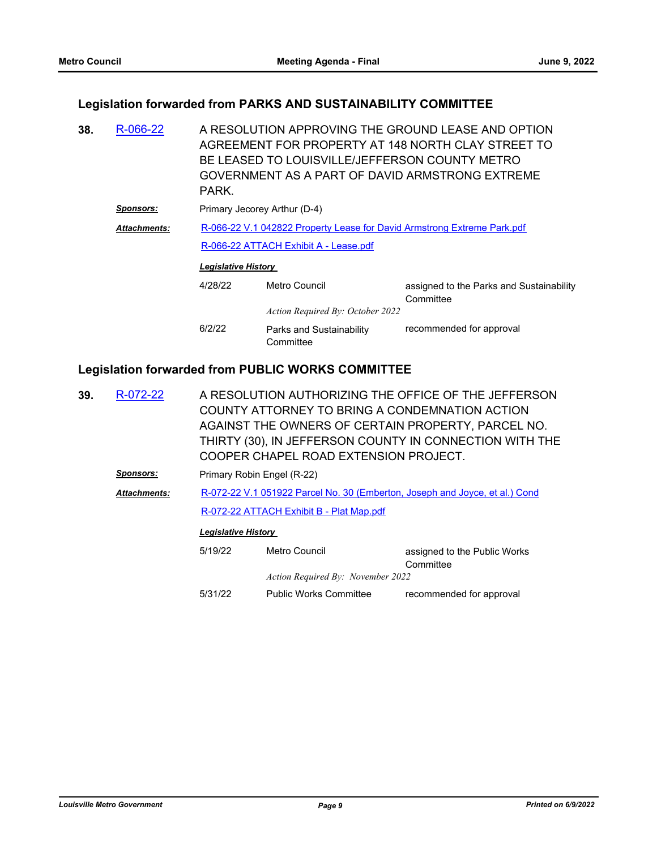### **Legislation forwarded from PARKS AND SUSTAINABILITY COMMITTEE**

A RESOLUTION APPROVING THE GROUND LEASE AND OPTION AGREEMENT FOR PROPERTY AT 148 NORTH CLAY STREET TO BE LEASED TO LOUISVILLE/JEFFERSON COUNTY METRO GOVERNMENT AS A PART OF DAVID ARMSTRONG EXTREME PARK. **38.** [R-066-22](http://louisville.legistar.com/gateway.aspx?m=l&id=/matter.aspx?key=60085) **Sponsors:** Primary Jecorey Arthur (D-4) [R-066-22 V.1 042822 Property Lease for David Armstrong Extreme Park.pdf](http://louisville.legistar.com/gateway.aspx?M=F&ID=c0f7d989-5e43-4df2-a6f1-7c4d49158109.pdf) [R-066-22 ATTACH Exhibit A - Lease.pdf](http://louisville.legistar.com/gateway.aspx?M=F&ID=51457f63-615c-4560-9f16-cb7c8f647897.pdf) *Attachments: Legislative History*  4/28/22 Metro Council assigned to the Parks and Sustainability **Committee** *Action Required By: October 2022* 6/2/22 Parks and Sustainability **Committee** recommended for approval

### **Legislation forwarded from PUBLIC WORKS COMMITTEE**

|                  |                                                                             | COOPER CHAPEL ROAD EXTENSION PROJECT. |                                                                                                                                                                                                                                                                                            |  |  |
|------------------|-----------------------------------------------------------------------------|---------------------------------------|--------------------------------------------------------------------------------------------------------------------------------------------------------------------------------------------------------------------------------------------------------------------------------------------|--|--|
| <u>Sponsors:</u> | Primary Robin Engel (R-22)                                                  |                                       |                                                                                                                                                                                                                                                                                            |  |  |
| Attachments:     | R-072-22 V.1 051922 Parcel No. 30 (Emberton, Joseph and Joyce, et al.) Cond |                                       |                                                                                                                                                                                                                                                                                            |  |  |
|                  | R-072-22 ATTACH Exhibit B - Plat Map.pdf                                    |                                       |                                                                                                                                                                                                                                                                                            |  |  |
|                  |                                                                             |                                       |                                                                                                                                                                                                                                                                                            |  |  |
|                  | 5/19/22                                                                     | Metro Council                         | assigned to the Public Works<br>Committee                                                                                                                                                                                                                                                  |  |  |
|                  |                                                                             |                                       |                                                                                                                                                                                                                                                                                            |  |  |
|                  | 5/31/22                                                                     | <b>Public Works Committee</b>         | recommended for approval                                                                                                                                                                                                                                                                   |  |  |
|                  | R-072-22                                                                    |                                       | A RESOLUTION AUTHORIZING THE OFFICE OF THE JEFFERSON<br>COUNTY ATTORNEY TO BRING A CONDEMNATION ACTION<br>AGAINST THE OWNERS OF CERTAIN PROPERTY, PARCEL NO.<br>THIRTY (30), IN JEFFERSON COUNTY IN CONNECTION WITH THE<br><b>Legislative History</b><br>Action Required By: November 2022 |  |  |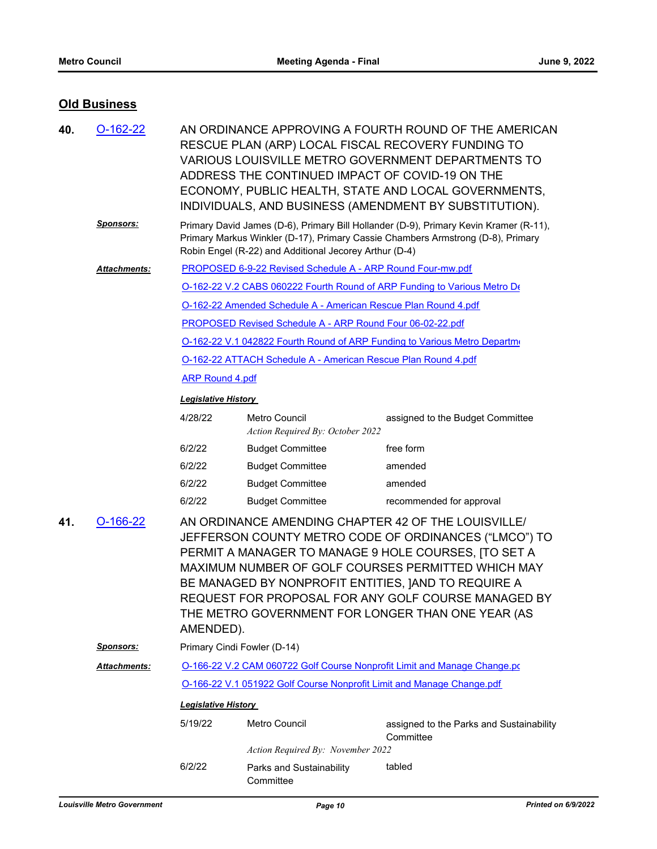## **Old Business**

| 40. | $O-162-22$           | AN ORDINANCE APPROVING A FOURTH ROUND OF THE AMERICAN<br>RESCUE PLAN (ARP) LOCAL FISCAL RECOVERY FUNDING TO<br>VARIOUS LOUISVILLE METRO GOVERNMENT DEPARTMENTS TO<br>ADDRESS THE CONTINUED IMPACT OF COVID-19 ON THE<br>ECONOMY, PUBLIC HEALTH, STATE AND LOCAL GOVERNMENTS,<br>INDIVIDUALS, AND BUSINESS (AMENDMENT BY SUBSTITUTION). |                                                                                                                                                                                                                                                                                                                                                                                                            |                                                                                                                                                                          |  |  |
|-----|----------------------|----------------------------------------------------------------------------------------------------------------------------------------------------------------------------------------------------------------------------------------------------------------------------------------------------------------------------------------|------------------------------------------------------------------------------------------------------------------------------------------------------------------------------------------------------------------------------------------------------------------------------------------------------------------------------------------------------------------------------------------------------------|--------------------------------------------------------------------------------------------------------------------------------------------------------------------------|--|--|
|     | <u>Sponsors:</u>     |                                                                                                                                                                                                                                                                                                                                        | Robin Engel (R-22) and Additional Jecorey Arthur (D-4)                                                                                                                                                                                                                                                                                                                                                     | Primary David James (D-6), Primary Bill Hollander (D-9), Primary Kevin Kramer (R-11),<br>Primary Markus Winkler (D-17), Primary Cassie Chambers Armstrong (D-8), Primary |  |  |
|     | <b>Attachments:</b>  |                                                                                                                                                                                                                                                                                                                                        | <b>PROPOSED 6-9-22 Revised Schedule A - ARP Round Four-mw.pdf</b>                                                                                                                                                                                                                                                                                                                                          |                                                                                                                                                                          |  |  |
|     |                      |                                                                                                                                                                                                                                                                                                                                        |                                                                                                                                                                                                                                                                                                                                                                                                            | O-162-22 V.2 CABS 060222 Fourth Round of ARP Funding to Various Metro De                                                                                                 |  |  |
|     |                      |                                                                                                                                                                                                                                                                                                                                        | O-162-22 Amended Schedule A - American Rescue Plan Round 4.pdf                                                                                                                                                                                                                                                                                                                                             |                                                                                                                                                                          |  |  |
|     |                      |                                                                                                                                                                                                                                                                                                                                        | <b>PROPOSED Revised Schedule A - ARP Round Four 06-02-22.pdf</b>                                                                                                                                                                                                                                                                                                                                           |                                                                                                                                                                          |  |  |
|     |                      |                                                                                                                                                                                                                                                                                                                                        |                                                                                                                                                                                                                                                                                                                                                                                                            | O-162-22 V.1 042822 Fourth Round of ARP Funding to Various Metro Departme                                                                                                |  |  |
|     |                      |                                                                                                                                                                                                                                                                                                                                        | O-162-22 ATTACH Schedule A - American Rescue Plan Round 4.pdf                                                                                                                                                                                                                                                                                                                                              |                                                                                                                                                                          |  |  |
|     |                      | <b>ARP Round 4.pdf</b>                                                                                                                                                                                                                                                                                                                 |                                                                                                                                                                                                                                                                                                                                                                                                            |                                                                                                                                                                          |  |  |
|     |                      | <b>Legislative History</b>                                                                                                                                                                                                                                                                                                             |                                                                                                                                                                                                                                                                                                                                                                                                            |                                                                                                                                                                          |  |  |
|     |                      | 4/28/22                                                                                                                                                                                                                                                                                                                                | <b>Metro Council</b><br>Action Required By: October 2022                                                                                                                                                                                                                                                                                                                                                   | assigned to the Budget Committee                                                                                                                                         |  |  |
|     |                      | 6/2/22                                                                                                                                                                                                                                                                                                                                 | <b>Budget Committee</b>                                                                                                                                                                                                                                                                                                                                                                                    | free form                                                                                                                                                                |  |  |
|     |                      | 6/2/22                                                                                                                                                                                                                                                                                                                                 | <b>Budget Committee</b>                                                                                                                                                                                                                                                                                                                                                                                    | amended                                                                                                                                                                  |  |  |
|     |                      | 6/2/22                                                                                                                                                                                                                                                                                                                                 | <b>Budget Committee</b>                                                                                                                                                                                                                                                                                                                                                                                    | amended                                                                                                                                                                  |  |  |
|     |                      | 6/2/22                                                                                                                                                                                                                                                                                                                                 | <b>Budget Committee</b>                                                                                                                                                                                                                                                                                                                                                                                    | recommended for approval                                                                                                                                                 |  |  |
| 41. | $O-166-22$           |                                                                                                                                                                                                                                                                                                                                        | AN ORDINANCE AMENDING CHAPTER 42 OF THE LOUISVILLE/<br>JEFFERSON COUNTY METRO CODE OF ORDINANCES ("LMCO") TO<br>PERMIT A MANAGER TO MANAGE 9 HOLE COURSES, ITO SET A<br>MAXIMUM NUMBER OF GOLF COURSES PERMITTED WHICH MAY<br>BE MANAGED BY NONPROFIT ENTITIES, JAND TO REQUIRE A<br>REQUEST FOR PROPOSAL FOR ANY GOLF COURSE MANAGED BY<br>THE METRO GOVERNMENT FOR LONGER THAN ONE YEAR (AS<br>AMENDED). |                                                                                                                                                                          |  |  |
|     | <b>Sponsors:</b>     |                                                                                                                                                                                                                                                                                                                                        | Primary Cindi Fowler (D-14)                                                                                                                                                                                                                                                                                                                                                                                |                                                                                                                                                                          |  |  |
|     | <u> Attachments:</u> | O-166-22 V.2 CAM 060722 Golf Course Nonprofit Limit and Manage Change.pd                                                                                                                                                                                                                                                               |                                                                                                                                                                                                                                                                                                                                                                                                            |                                                                                                                                                                          |  |  |
|     |                      | O-166-22 V.1 051922 Golf Course Nonprofit Limit and Manage Change.pdf                                                                                                                                                                                                                                                                  |                                                                                                                                                                                                                                                                                                                                                                                                            |                                                                                                                                                                          |  |  |
|     |                      | <b>Legislative History</b>                                                                                                                                                                                                                                                                                                             |                                                                                                                                                                                                                                                                                                                                                                                                            |                                                                                                                                                                          |  |  |
|     |                      | 5/19/22                                                                                                                                                                                                                                                                                                                                | Metro Council                                                                                                                                                                                                                                                                                                                                                                                              | assigned to the Parks and Sustainability<br>Committee                                                                                                                    |  |  |
|     |                      |                                                                                                                                                                                                                                                                                                                                        | Action Required By: November 2022                                                                                                                                                                                                                                                                                                                                                                          |                                                                                                                                                                          |  |  |
|     |                      | 6/2/22                                                                                                                                                                                                                                                                                                                                 | Parks and Sustainability<br>Committee                                                                                                                                                                                                                                                                                                                                                                      | tabled                                                                                                                                                                   |  |  |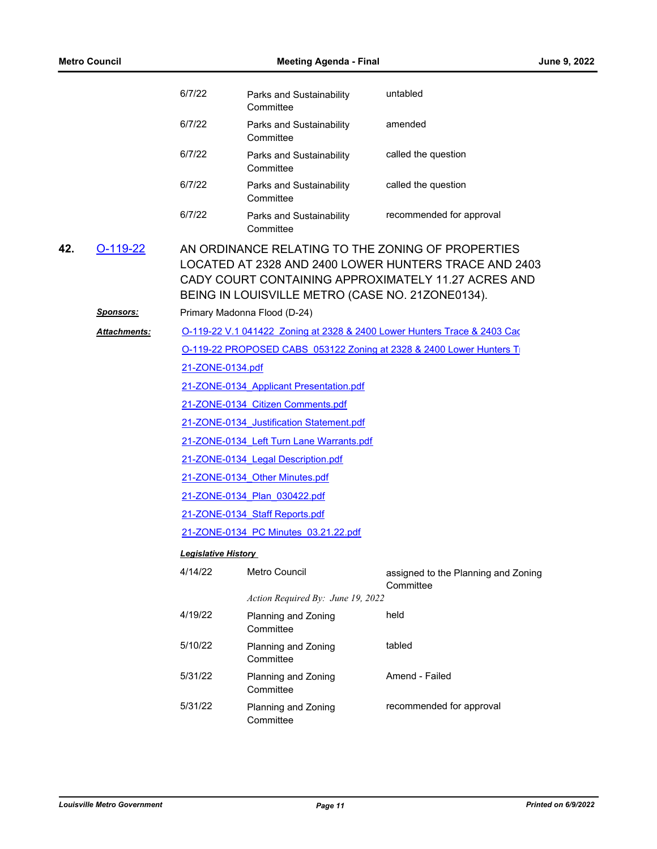|     | <b>Metro Council</b>           |                            | <b>Meeting Agenda - Final</b>                                                    | June 9, 2022                                                                                                                                                      |
|-----|--------------------------------|----------------------------|----------------------------------------------------------------------------------|-------------------------------------------------------------------------------------------------------------------------------------------------------------------|
|     |                                | 6/7/22                     | Parks and Sustainability<br>Committee                                            | untabled                                                                                                                                                          |
|     |                                | 6/7/22                     | Parks and Sustainability<br>Committee                                            | amended                                                                                                                                                           |
|     |                                | 6/7/22                     | Parks and Sustainability<br>Committee                                            | called the question                                                                                                                                               |
|     |                                | 6/7/22                     | Parks and Sustainability<br>Committee                                            | called the question                                                                                                                                               |
|     |                                | 6/7/22                     | Parks and Sustainability<br>Committee                                            | recommended for approval                                                                                                                                          |
| 42. | $O-119-22$<br><u>Sponsors:</u> |                            | BEING IN LOUISVILLE METRO (CASE NO. 21ZONE0134).<br>Primary Madonna Flood (D-24) | AN ORDINANCE RELATING TO THE ZONING OF PROPERTIES<br>LOCATED AT 2328 AND 2400 LOWER HUNTERS TRACE AND 2403<br>CADY COURT CONTAINING APPROXIMATELY 11.27 ACRES AND |
|     |                                |                            |                                                                                  |                                                                                                                                                                   |
|     | <b>Attachments:</b>            |                            |                                                                                  | O-119-22 V.1 041422 Zoning at 2328 & 2400 Lower Hunters Trace & 2403 Cac                                                                                          |
|     |                                |                            |                                                                                  | O-119-22 PROPOSED CABS 053122 Zoning at 2328 & 2400 Lower Hunters T                                                                                               |
|     |                                | 21-ZONE-0134.pdf           |                                                                                  |                                                                                                                                                                   |
|     |                                |                            | 21-ZONE-0134 Applicant Presentation.pdf                                          |                                                                                                                                                                   |
|     |                                |                            | 21-ZONE-0134 Citizen Comments.pdf                                                |                                                                                                                                                                   |
|     |                                |                            | 21-ZONE-0134 Justification Statement.pdf                                         |                                                                                                                                                                   |
|     |                                |                            | 21-ZONE-0134 Left Turn Lane Warrants.pdf                                         |                                                                                                                                                                   |
|     |                                |                            | 21-ZONE-0134 Legal Description.pdf                                               |                                                                                                                                                                   |
|     |                                |                            | 21-ZONE-0134 Other Minutes.pdf                                                   |                                                                                                                                                                   |
|     |                                |                            | 21-ZONE-0134 Plan 030422.pdf                                                     |                                                                                                                                                                   |
|     |                                |                            | 21-ZONE-0134 Staff Reports.pdf                                                   |                                                                                                                                                                   |
|     |                                |                            | 21-ZONE-0134 PC Minutes 03.21.22.pdf                                             |                                                                                                                                                                   |
|     |                                | <b>Legislative History</b> |                                                                                  |                                                                                                                                                                   |
|     |                                | 4/14/22                    | Metro Council                                                                    | assigned to the Planning and Zoning<br>Committee                                                                                                                  |
|     |                                |                            | Action Required By: June 19, 2022                                                |                                                                                                                                                                   |
|     |                                | 4/19/22                    | Planning and Zoning<br>Committee                                                 | held                                                                                                                                                              |
|     |                                | 5/10/22                    | Planning and Zoning<br>Committee                                                 | tabled                                                                                                                                                            |
|     |                                | 5/31/22                    | Planning and Zoning<br>Committee                                                 | Amend - Failed                                                                                                                                                    |
|     |                                | 5/31/22                    | Planning and Zoning<br>Committee                                                 | recommended for approval                                                                                                                                          |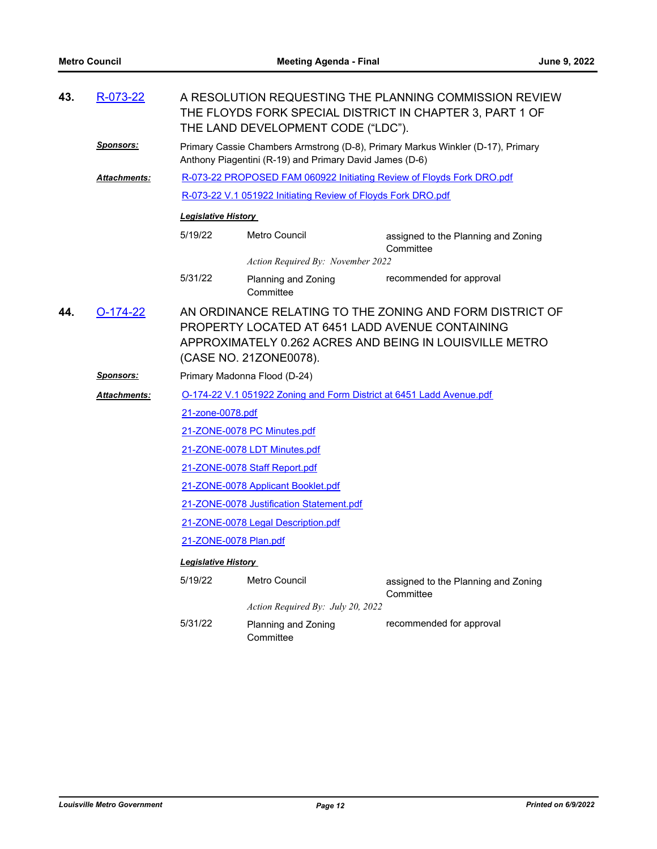| 43.                                                                                                                                                                                                                   | R-073-22            | A RESOLUTION REQUESTING THE PLANNING COMMISSION REVIEW<br>THE FLOYDS FORK SPECIAL DISTRICT IN CHAPTER 3, PART 1 OF<br>THE LAND DEVELOPMENT CODE ("LDC"). |                                                                       |                                                                      |  |  |
|-----------------------------------------------------------------------------------------------------------------------------------------------------------------------------------------------------------------------|---------------------|----------------------------------------------------------------------------------------------------------------------------------------------------------|-----------------------------------------------------------------------|----------------------------------------------------------------------|--|--|
|                                                                                                                                                                                                                       | <u>Sponsors:</u>    | Primary Cassie Chambers Armstrong (D-8), Primary Markus Winkler (D-17), Primary<br>Anthony Piagentini (R-19) and Primary David James (D-6)               |                                                                       |                                                                      |  |  |
|                                                                                                                                                                                                                       | Attachments:        |                                                                                                                                                          | R-073-22 PROPOSED FAM 060922 Initiating Review of Floyds Fork DRO.pdf |                                                                      |  |  |
|                                                                                                                                                                                                                       |                     |                                                                                                                                                          | R-073-22 V.1 051922 Initiating Review of Floyds Fork DRO.pdf          |                                                                      |  |  |
|                                                                                                                                                                                                                       |                     | <b>Legislative History</b>                                                                                                                               |                                                                       |                                                                      |  |  |
|                                                                                                                                                                                                                       |                     | 5/19/22                                                                                                                                                  | Metro Council                                                         | assigned to the Planning and Zoning<br>Committee                     |  |  |
|                                                                                                                                                                                                                       |                     |                                                                                                                                                          | Action Required By: November 2022                                     |                                                                      |  |  |
|                                                                                                                                                                                                                       |                     | 5/31/22                                                                                                                                                  | Planning and Zoning<br>Committee                                      | recommended for approval                                             |  |  |
| AN ORDINANCE RELATING TO THE ZONING AND FORM DISTRICT OF<br>$O-174-22$<br>44.<br>PROPERTY LOCATED AT 6451 LADD AVENUE CONTAINING<br>APPROXIMATELY 0.262 ACRES AND BEING IN LOUISVILLE METRO<br>(CASE NO. 21ZONE0078). |                     |                                                                                                                                                          |                                                                       |                                                                      |  |  |
|                                                                                                                                                                                                                       | <b>Sponsors:</b>    |                                                                                                                                                          | Primary Madonna Flood (D-24)                                          |                                                                      |  |  |
|                                                                                                                                                                                                                       | <b>Attachments:</b> |                                                                                                                                                          |                                                                       | O-174-22 V.1 051922 Zoning and Form District at 6451 Ladd Avenue.pdf |  |  |
|                                                                                                                                                                                                                       |                     | 21-zone-0078.pdf                                                                                                                                         |                                                                       |                                                                      |  |  |
|                                                                                                                                                                                                                       |                     |                                                                                                                                                          | 21-ZONE-0078 PC Minutes.pdf                                           |                                                                      |  |  |
|                                                                                                                                                                                                                       |                     | 21-ZONE-0078 LDT Minutes.pdf                                                                                                                             |                                                                       |                                                                      |  |  |
|                                                                                                                                                                                                                       |                     | 21-ZONE-0078 Staff Report.pdf                                                                                                                            |                                                                       |                                                                      |  |  |
|                                                                                                                                                                                                                       |                     | 21-ZONE-0078 Applicant Booklet.pdf                                                                                                                       |                                                                       |                                                                      |  |  |
|                                                                                                                                                                                                                       |                     | 21-ZONE-0078 Justification Statement.pdf                                                                                                                 |                                                                       |                                                                      |  |  |
|                                                                                                                                                                                                                       |                     | 21-ZONE-0078 Legal Description.pdf                                                                                                                       |                                                                       |                                                                      |  |  |
|                                                                                                                                                                                                                       |                     | 21-ZONE-0078 Plan.pdf                                                                                                                                    |                                                                       |                                                                      |  |  |
|                                                                                                                                                                                                                       |                     | <b>Legislative History</b>                                                                                                                               |                                                                       |                                                                      |  |  |
|                                                                                                                                                                                                                       |                     | 5/19/22                                                                                                                                                  | Metro Council                                                         | assigned to the Planning and Zoning<br>Committee                     |  |  |
|                                                                                                                                                                                                                       |                     |                                                                                                                                                          | Action Required By: July 20, 2022                                     |                                                                      |  |  |
|                                                                                                                                                                                                                       |                     | 5/31/22                                                                                                                                                  | Planning and Zoning<br>Committee                                      | recommended for approval                                             |  |  |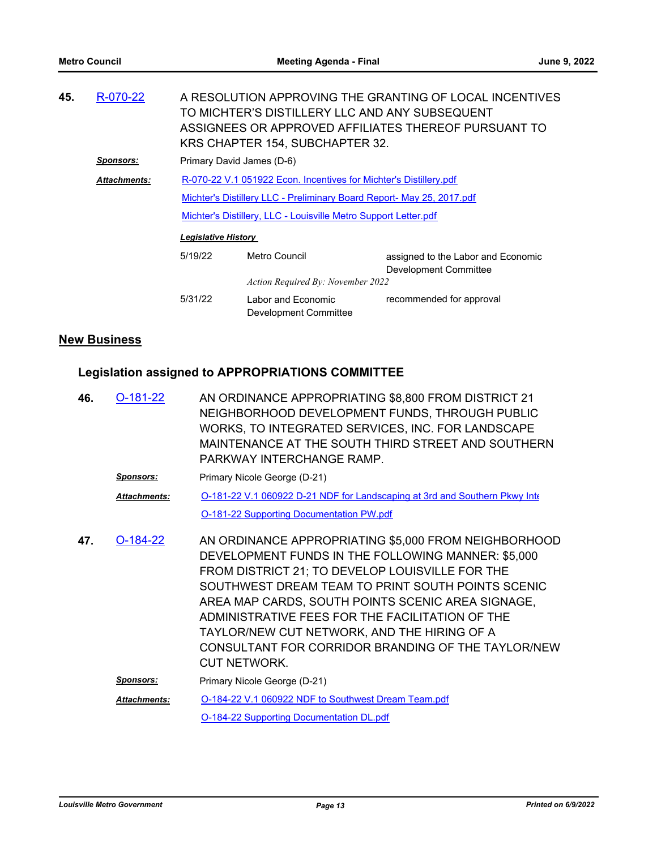| 45. | R-070-22            |                            | TO MICHTER'S DISTILLERY LLC AND ANY SUBSEQUENT<br>KRS CHAPTER 154, SUBCHAPTER 32. | A RESOLUTION APPROVING THE GRANTING OF LOCAL INCENTIVES<br>ASSIGNEES OR APPROVED AFFILIATES THEREOF PURSUANT TO |
|-----|---------------------|----------------------------|-----------------------------------------------------------------------------------|-----------------------------------------------------------------------------------------------------------------|
|     | <b>Sponsors:</b>    | Primary David James (D-6)  |                                                                                   |                                                                                                                 |
|     | <b>Attachments:</b> |                            | R-070-22 V.1 051922 Econ. Incentives for Michter's Distillery.pdf                 |                                                                                                                 |
|     |                     |                            | Michter's Distillery LLC - Preliminary Board Report- May 25, 2017.pdf             |                                                                                                                 |
|     |                     |                            | Michter's Distillery, LLC - Louisville Metro Support Letter.pdf                   |                                                                                                                 |
|     |                     | <b>Legislative History</b> |                                                                                   |                                                                                                                 |
|     |                     | 5/19/22                    | Metro Council                                                                     | assigned to the Labor and Economic<br>Development Committee                                                     |
|     |                     |                            | Action Required By: November 2022                                                 |                                                                                                                 |
|     |                     | 5/31/22                    | Labor and Economic<br>Development Committee                                       | recommended for approval                                                                                        |
|     |                     |                            |                                                                                   |                                                                                                                 |

### **New Business**

## **Legislation assigned to APPROPRIATIONS COMMITTEE**

| 46. | O-181-22            | AN ORDINANCE APPROPRIATING \$8,800 FROM DISTRICT 21<br>NEIGHBORHOOD DEVELOPMENT FUNDS, THROUGH PUBLIC<br>WORKS, TO INTEGRATED SERVICES, INC. FOR LANDSCAPE<br>MAINTENANCE AT THE SOUTH THIRD STREET AND SOUTHERN<br>PARKWAY INTERCHANGE RAMP.                                                                                                                                                                                                          |
|-----|---------------------|--------------------------------------------------------------------------------------------------------------------------------------------------------------------------------------------------------------------------------------------------------------------------------------------------------------------------------------------------------------------------------------------------------------------------------------------------------|
|     | <u>Sponsors:</u>    | Primary Nicole George (D-21)                                                                                                                                                                                                                                                                                                                                                                                                                           |
|     | <b>Attachments:</b> | O-181-22 V.1 060922 D-21 NDF for Landscaping at 3rd and Southern Pkwy Inter-                                                                                                                                                                                                                                                                                                                                                                           |
|     |                     | <b>O-181-22 Supporting Documentation PW.pdf</b>                                                                                                                                                                                                                                                                                                                                                                                                        |
| 47. | $O-184-22$          | AN ORDINANCE APPROPRIATING \$5,000 FROM NEIGHBORHOOD<br>DEVELOPMENT FUNDS IN THE FOLLOWING MANNER: \$5,000<br>FROM DISTRICT 21; TO DEVELOP LOUISVILLE FOR THE<br>SOUTHWEST DREAM TEAM TO PRINT SOUTH POINTS SCENIC<br>AREA MAP CARDS, SOUTH POINTS SCENIC AREA SIGNAGE,<br>ADMINISTRATIVE FEES FOR THE FACILITATION OF THE<br>TAYLOR/NEW CUT NETWORK, AND THE HIRING OF A<br>CONSULTANT FOR CORRIDOR BRANDING OF THE TAYLOR/NEW<br><b>CUT NETWORK.</b> |
|     | <u>Sponsors:</u>    | Primary Nicole George (D-21)                                                                                                                                                                                                                                                                                                                                                                                                                           |
|     | <b>Attachments:</b> | O-184-22 V.1 060922 NDF to Southwest Dream Team.pdf                                                                                                                                                                                                                                                                                                                                                                                                    |
|     |                     | <b>O-184-22 Supporting Documentation DL.pdf</b>                                                                                                                                                                                                                                                                                                                                                                                                        |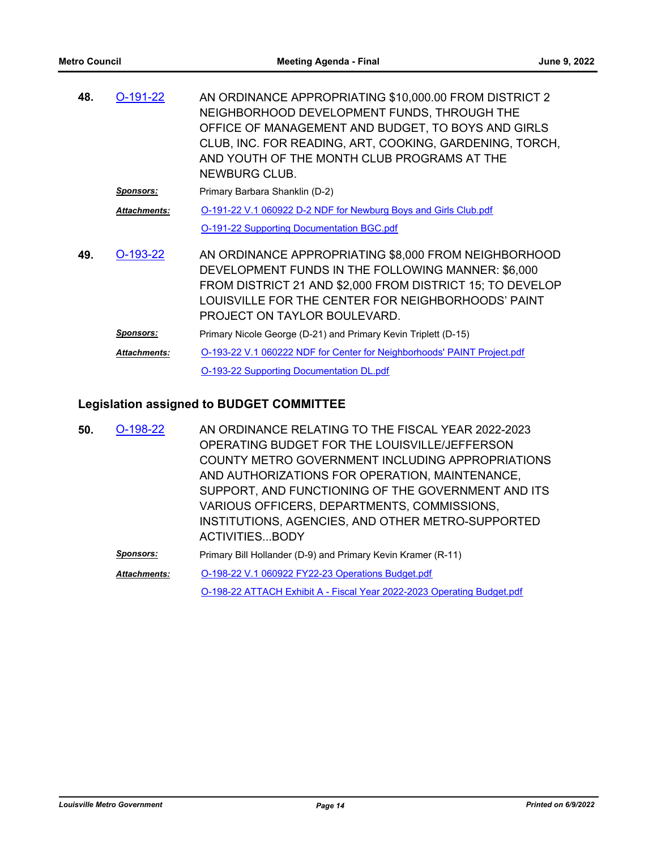| 48. | $O-191-22$          | AN ORDINANCE APPROPRIATING \$10,000.00 FROM DISTRICT 2<br>NEIGHBORHOOD DEVELOPMENT FUNDS, THROUGH THE<br>OFFICE OF MANAGEMENT AND BUDGET, TO BOYS AND GIRLS<br>CLUB, INC. FOR READING, ART, COOKING, GARDENING, TORCH,<br>AND YOUTH OF THE MONTH CLUB PROGRAMS AT THE<br>NEWBURG CLUB. |
|-----|---------------------|----------------------------------------------------------------------------------------------------------------------------------------------------------------------------------------------------------------------------------------------------------------------------------------|
|     | <b>Sponsors:</b>    | Primary Barbara Shanklin (D-2)                                                                                                                                                                                                                                                         |
|     | <b>Attachments:</b> | O-191-22 V.1 060922 D-2 NDF for Newburg Boys and Girls Club.pdf                                                                                                                                                                                                                        |
|     |                     | <b>O-191-22 Supporting Documentation BGC.pdf</b>                                                                                                                                                                                                                                       |
| 49. | $O-193-22$          | AN ORDINANCE APPROPRIATING \$8,000 FROM NEIGHBORHOOD<br>DEVELOPMENT FUNDS IN THE FOLLOWING MANNER: \$6,000<br>FROM DISTRICT 21 AND \$2,000 FROM DISTRICT 15; TO DEVELOP<br>LOUISVILLE FOR THE CENTER FOR NEIGHBORHOODS' PAINT<br>PROJECT ON TAYLOR BOULEVARD.                          |
|     | <b>Sponsors:</b>    | Primary Nicole George (D-21) and Primary Kevin Triplett (D-15)                                                                                                                                                                                                                         |
|     | <b>Attachments:</b> | O-193-22 V.1 060222 NDF for Center for Neighborhoods' PAINT Project.pdf                                                                                                                                                                                                                |
|     |                     | O-193-22 Supporting Documentation DL.pdf                                                                                                                                                                                                                                               |

## **Legislation assigned to BUDGET COMMITTEE**

| 50. | $O-198-22$          | AN ORDINANCE RELATING TO THE FISCAL YEAR 2022-2023<br>OPERATING BUDGET FOR THE LOUISVILLE/JEFFERSON<br><b>COUNTY METRO GOVERNMENT INCLUDING APPROPRIATIONS</b><br>AND AUTHORIZATIONS FOR OPERATION, MAINTENANCE, |
|-----|---------------------|------------------------------------------------------------------------------------------------------------------------------------------------------------------------------------------------------------------|
|     |                     | SUPPORT, AND FUNCTIONING OF THE GOVERNMENT AND ITS<br>VARIOUS OFFICERS, DEPARTMENTS, COMMISSIONS,<br>INSTITUTIONS, AGENCIES, AND OTHER METRO-SUPPORTED<br>ACTIVITIESBODY                                         |
|     | Sponsors:           | Primary Bill Hollander (D-9) and Primary Kevin Kramer (R-11)                                                                                                                                                     |
|     | <b>Attachments:</b> | O-198-22 V.1 060922 FY22-23 Operations Budget.pdf                                                                                                                                                                |
|     |                     | O-198-22 ATTACH Exhibit A - Fiscal Year 2022-2023 Operating Budget.pdf                                                                                                                                           |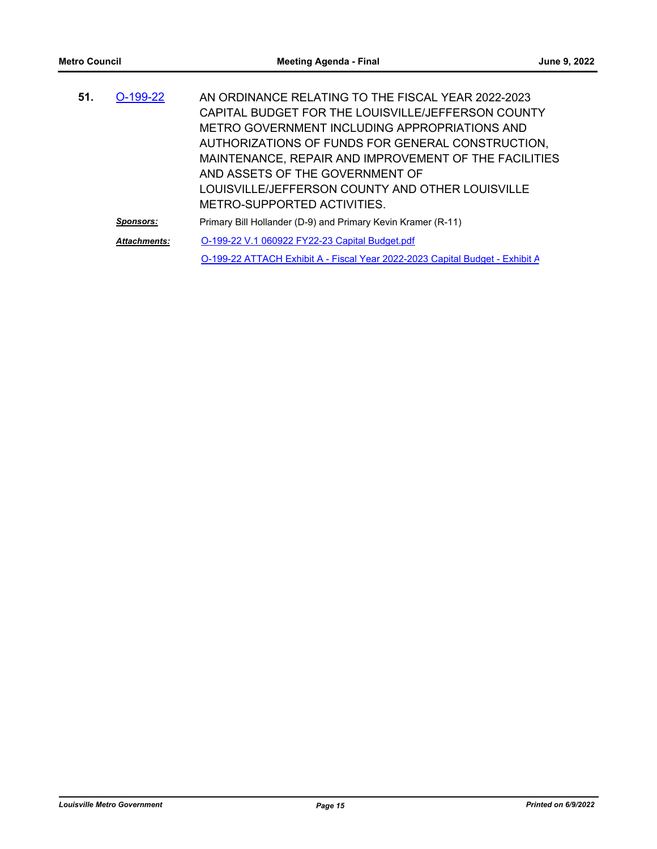| 51. | $O-199-22$          | AN ORDINANCE RELATING TO THE FISCAL YEAR 2022-2023                           |
|-----|---------------------|------------------------------------------------------------------------------|
|     |                     | CAPITAL BUDGET FOR THE LOUISVILLE/JEFFERSON COUNTY                           |
|     |                     | METRO GOVERNMENT INCLUDING APPROPRIATIONS AND                                |
|     |                     | AUTHORIZATIONS OF FUNDS FOR GENERAL CONSTRUCTION,                            |
|     |                     | MAINTENANCE, REPAIR AND IMPROVEMENT OF THE FACILITIES                        |
|     |                     | AND ASSETS OF THE GOVERNMENT OF                                              |
|     |                     | LOUISVILLE/JEFFERSON COUNTY AND OTHER LOUISVILLE                             |
|     |                     | METRO-SUPPORTED ACTIVITIES.                                                  |
|     | Sponsors:           | Primary Bill Hollander (D-9) and Primary Kevin Kramer (R-11)                 |
|     | <b>Attachments:</b> | O-199-22 V.1 060922 FY22-23 Capital Budget.pdf                               |
|     |                     | O-199-22 ATTACH Exhibit A - Fiscal Year 2022-2023 Capital Budget - Exhibit A |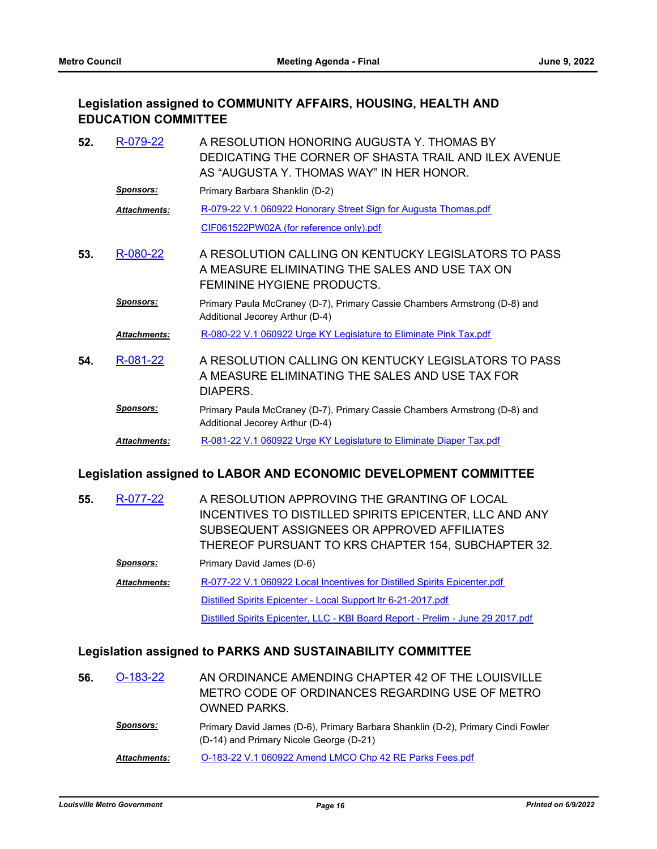### **Legislation assigned to COMMUNITY AFFAIRS, HOUSING, HEALTH AND EDUCATION COMMITTEE**

| 52. | R-079-22            | A RESOLUTION HONORING AUGUSTA Y. THOMAS BY<br>DEDICATING THE CORNER OF SHASTA TRAIL AND ILEX AVENUE<br>AS "AUGUSTA Y. THOMAS WAY" IN HER HONOR. |
|-----|---------------------|-------------------------------------------------------------------------------------------------------------------------------------------------|
|     | Sponsors:           | Primary Barbara Shanklin (D-2)                                                                                                                  |
|     | <b>Attachments:</b> | R-079-22 V.1 060922 Honorary Street Sign for Augusta Thomas.pdf                                                                                 |
|     |                     | CIF061522PW02A (for reference only).pdf                                                                                                         |
| 53. | R-080-22            | A RESOLUTION CALLING ON KENTUCKY LEGISLATORS TO PASS<br>A MEASURE ELIMINATING THE SALES AND USE TAX ON<br><b>FEMININE HYGIENE PRODUCTS.</b>     |
|     | <b>Sponsors:</b>    | Primary Paula McCraney (D-7), Primary Cassie Chambers Armstrong (D-8) and<br>Additional Jecorey Arthur (D-4)                                    |
|     | <b>Attachments:</b> | R-080-22 V.1 060922 Urge KY Legislature to Eliminate Pink Tax.pdf                                                                               |
| 54. | R-081-22            | A RESOLUTION CALLING ON KENTUCKY LEGISLATORS TO PASS<br>A MEASURE ELIMINATING THE SALES AND USE TAX FOR<br>DIAPERS.                             |
|     | <b>Sponsors:</b>    | Primary Paula McCraney (D-7), Primary Cassie Chambers Armstrong (D-8) and<br>Additional Jecorey Arthur (D-4)                                    |
|     | <b>Attachments:</b> | R-081-22 V.1 060922 Urge KY Legislature to Eliminate Diaper Tax.pdf                                                                             |

### **Legislation assigned to LABOR AND ECONOMIC DEVELOPMENT COMMITTEE**

| 55. | R-077-22            | A RESOLUTION APPROVING THE GRANTING OF LOCAL<br>INCENTIVES TO DISTILLED SPIRITS EPICENTER, LLC AND ANY<br>SUBSEQUENT ASSIGNEES OR APPROVED AFFILIATES<br>THEREOF PURSUANT TO KRS CHAPTER 154, SUBCHAPTER 32. |
|-----|---------------------|--------------------------------------------------------------------------------------------------------------------------------------------------------------------------------------------------------------|
|     | <b>Sponsors:</b>    | Primary David James (D-6)                                                                                                                                                                                    |
|     | <b>Attachments:</b> | R-077-22 V.1 060922 Local Incentives for Distilled Spirits Epicenter.pdf                                                                                                                                     |
|     |                     | Distilled Spirits Epicenter - Local Support Itr 6-21-2017.pdf                                                                                                                                                |
|     |                     | Distilled Spirits Epicenter, LLC - KBI Board Report - Prelim - June 29 2017.pdf                                                                                                                              |

### **Legislation assigned to PARKS AND SUSTAINABILITY COMMITTEE**

| 56. | O-183-22            | AN ORDINANCE AMENDING CHAPTER 42 OF THE LOUISVILLE<br>METRO CODE OF ORDINANCES REGARDING USE OF METRO<br><b>OWNED PARKS</b> |
|-----|---------------------|-----------------------------------------------------------------------------------------------------------------------------|
|     | <b>Sponsors:</b>    | Primary David James (D-6), Primary Barbara Shanklin (D-2), Primary Cindi Fowler<br>(D-14) and Primary Nicole George (D-21)  |
|     | <b>Attachments:</b> | O-183-22 V.1 060922 Amend LMCO Chp 42 RE Parks Fees.pdf                                                                     |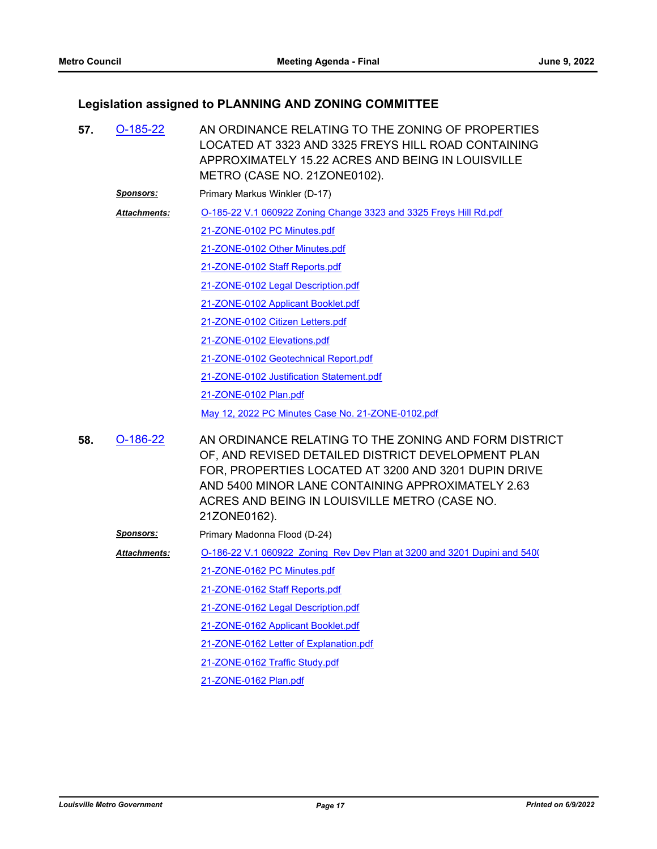## **Legislation assigned to PLANNING AND ZONING COMMITTEE**

| 57. | $O-185-22$          | AN ORDINANCE RELATING TO THE ZONING OF PROPERTIES<br>LOCATED AT 3323 AND 3325 FREYS HILL ROAD CONTAINING<br>APPROXIMATELY 15.22 ACRES AND BEING IN LOUISVILLE<br>METRO (CASE NO. 21ZONE0102).                                                                                             |
|-----|---------------------|-------------------------------------------------------------------------------------------------------------------------------------------------------------------------------------------------------------------------------------------------------------------------------------------|
|     | <u>Sponsors:</u>    | Primary Markus Winkler (D-17)                                                                                                                                                                                                                                                             |
|     | <b>Attachments:</b> | O-185-22 V.1 060922 Zoning Change 3323 and 3325 Freys Hill Rd.pdf                                                                                                                                                                                                                         |
|     |                     | 21-ZONE-0102 PC Minutes.pdf                                                                                                                                                                                                                                                               |
|     |                     | 21-ZONE-0102 Other Minutes.pdf                                                                                                                                                                                                                                                            |
|     |                     | 21-ZONE-0102 Staff Reports.pdf                                                                                                                                                                                                                                                            |
|     |                     | 21-ZONE-0102 Legal Description.pdf                                                                                                                                                                                                                                                        |
|     |                     | 21-ZONE-0102 Applicant Booklet.pdf                                                                                                                                                                                                                                                        |
|     |                     | 21-ZONE-0102 Citizen Letters.pdf                                                                                                                                                                                                                                                          |
|     |                     | 21-ZONE-0102 Elevations.pdf                                                                                                                                                                                                                                                               |
|     |                     | 21-ZONE-0102 Geotechnical Report.pdf                                                                                                                                                                                                                                                      |
|     |                     | 21-ZONE-0102 Justification Statement.pdf                                                                                                                                                                                                                                                  |
|     |                     | 21-ZONE-0102 Plan.pdf                                                                                                                                                                                                                                                                     |
|     |                     | May 12, 2022 PC Minutes Case No. 21-ZONE-0102.pdf                                                                                                                                                                                                                                         |
| 58. | $O-186-22$          | AN ORDINANCE RELATING TO THE ZONING AND FORM DISTRICT<br>OF, AND REVISED DETAILED DISTRICT DEVELOPMENT PLAN<br>FOR, PROPERTIES LOCATED AT 3200 AND 3201 DUPIN DRIVE<br>AND 5400 MINOR LANE CONTAINING APPROXIMATELY 2.63<br>ACRES AND BEING IN LOUISVILLE METRO (CASE NO.<br>21ZONE0162). |
|     | <u>Sponsors:</u>    | Primary Madonna Flood (D-24)                                                                                                                                                                                                                                                              |
|     | <b>Attachments:</b> | O-186-22 V.1 060922 Zoning Rev Dev Plan at 3200 and 3201 Dupini and 5400                                                                                                                                                                                                                  |
|     |                     | 21-ZONE-0162 PC Minutes.pdf                                                                                                                                                                                                                                                               |
|     |                     | 21-ZONE-0162 Staff Reports.pdf                                                                                                                                                                                                                                                            |
|     |                     | 21-ZONE-0162 Legal Description.pdf                                                                                                                                                                                                                                                        |
|     |                     | 21-ZONE-0162 Applicant Booklet.pdf                                                                                                                                                                                                                                                        |
|     |                     | 21-ZONE-0162 Letter of Explanation.pdf                                                                                                                                                                                                                                                    |
|     |                     | 21-ZONE-0162 Traffic Study.pdf                                                                                                                                                                                                                                                            |
|     |                     | 21-ZONE-0162 Plan.pdf                                                                                                                                                                                                                                                                     |
|     |                     |                                                                                                                                                                                                                                                                                           |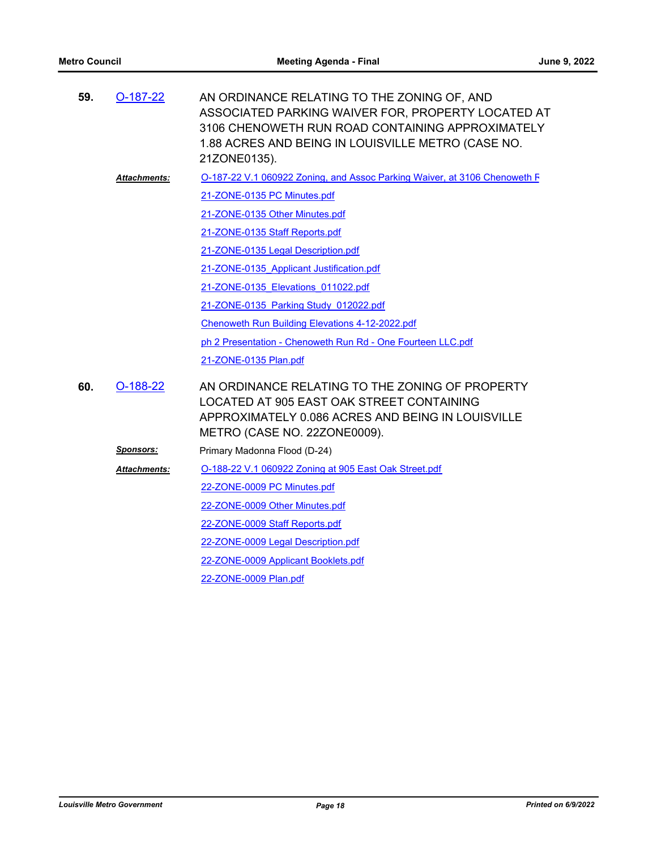| 59. | $O-187-22$          | AN ORDINANCE RELATING TO THE ZONING OF, AND<br>ASSOCIATED PARKING WAIVER FOR, PROPERTY LOCATED AT<br>3106 CHENOWETH RUN ROAD CONTAINING APPROXIMATELY<br>1.88 ACRES AND BEING IN LOUISVILLE METRO (CASE NO.<br>21ZONE0135). |
|-----|---------------------|-----------------------------------------------------------------------------------------------------------------------------------------------------------------------------------------------------------------------------|
|     | <b>Attachments:</b> | O-187-22 V.1 060922 Zoning, and Assoc Parking Waiver, at 3106 Chenoweth F                                                                                                                                                   |
|     |                     | 21-ZONE-0135 PC Minutes.pdf                                                                                                                                                                                                 |
|     |                     | 21-ZONE-0135 Other Minutes.pdf                                                                                                                                                                                              |
|     |                     | 21-ZONE-0135 Staff Reports.pdf                                                                                                                                                                                              |
|     |                     | 21-ZONE-0135 Legal Description.pdf                                                                                                                                                                                          |
|     |                     | 21-ZONE-0135 Applicant Justification.pdf                                                                                                                                                                                    |
|     |                     | 21-ZONE-0135 Elevations 011022.pdf                                                                                                                                                                                          |
|     |                     | 21-ZONE-0135 Parking Study 012022.pdf                                                                                                                                                                                       |
|     |                     | <b>Chenoweth Run Building Elevations 4-12-2022.pdf</b>                                                                                                                                                                      |
|     |                     | ph 2 Presentation - Chenoweth Run Rd - One Fourteen LLC.pdf                                                                                                                                                                 |
|     |                     | 21-ZONE-0135 Plan.pdf                                                                                                                                                                                                       |
| 60. | $O-188-22$          | AN ORDINANCE RELATING TO THE ZONING OF PROPERTY<br>LOCATED AT 905 EAST OAK STREET CONTAINING<br>APPROXIMATELY 0.086 ACRES AND BEING IN LOUISVILLE<br>METRO (CASE NO. 22ZONE0009).                                           |
|     | <u>Sponsors:</u>    | Primary Madonna Flood (D-24)                                                                                                                                                                                                |
|     | <b>Attachments:</b> | O-188-22 V.1 060922 Zoning at 905 East Oak Street.pdf                                                                                                                                                                       |
|     |                     | 22-ZONE-0009 PC Minutes.pdf                                                                                                                                                                                                 |
|     |                     | 22-ZONE-0009 Other Minutes.pdf                                                                                                                                                                                              |
|     |                     | 22-ZONE-0009 Staff Reports.pdf                                                                                                                                                                                              |
|     |                     | 22-ZONE-0009 Legal Description.pdf                                                                                                                                                                                          |
|     |                     | 22-ZONE-0009 Applicant Booklets.pdf                                                                                                                                                                                         |
|     |                     | 22-ZONE-0009 Plan.pdf                                                                                                                                                                                                       |
|     |                     |                                                                                                                                                                                                                             |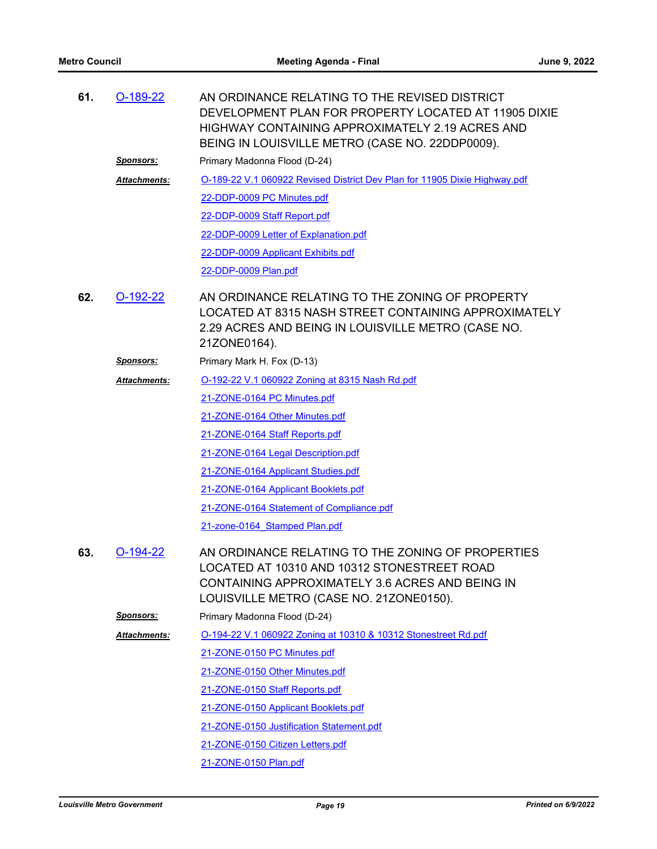| 61. | $O-189-22$          | AN ORDINANCE RELATING TO THE REVISED DISTRICT<br>DEVELOPMENT PLAN FOR PROPERTY LOCATED AT 11905 DIXIE<br><b>HIGHWAY CONTAINING APPROXIMATELY 2.19 ACRES AND</b><br>BEING IN LOUISVILLE METRO (CASE NO. 22DDP0009). |  |
|-----|---------------------|--------------------------------------------------------------------------------------------------------------------------------------------------------------------------------------------------------------------|--|
|     | <u>Sponsors:</u>    | Primary Madonna Flood (D-24)                                                                                                                                                                                       |  |
|     | <b>Attachments:</b> | O-189-22 V.1 060922 Revised District Dev Plan for 11905 Dixie Highway.pdf                                                                                                                                          |  |
|     |                     | 22-DDP-0009 PC Minutes.pdf                                                                                                                                                                                         |  |
|     |                     | 22-DDP-0009 Staff Report.pdf                                                                                                                                                                                       |  |
|     |                     | 22-DDP-0009 Letter of Explanation.pdf                                                                                                                                                                              |  |
|     |                     | 22-DDP-0009 Applicant Exhibits.pdf                                                                                                                                                                                 |  |
|     |                     | 22-DDP-0009 Plan.pdf                                                                                                                                                                                               |  |
| 62. | $O-192-22$          | AN ORDINANCE RELATING TO THE ZONING OF PROPERTY<br>LOCATED AT 8315 NASH STREET CONTAINING APPROXIMATELY<br>2.29 ACRES AND BEING IN LOUISVILLE METRO (CASE NO.<br>21ZONE0164).                                      |  |
|     | <u>Sponsors:</u>    | Primary Mark H. Fox (D-13)                                                                                                                                                                                         |  |
|     | <b>Attachments:</b> | O-192-22 V.1 060922 Zoning at 8315 Nash Rd.pdf                                                                                                                                                                     |  |
|     |                     | 21-ZONE-0164 PC Minutes.pdf                                                                                                                                                                                        |  |
|     |                     | 21-ZONE-0164 Other Minutes.pdf                                                                                                                                                                                     |  |
|     |                     | 21-ZONE-0164 Staff Reports.pdf                                                                                                                                                                                     |  |
|     |                     | 21-ZONE-0164 Legal Description.pdf                                                                                                                                                                                 |  |
|     |                     | 21-ZONE-0164 Applicant Studies.pdf                                                                                                                                                                                 |  |
|     |                     | 21-ZONE-0164 Applicant Booklets.pdf                                                                                                                                                                                |  |
|     |                     | 21-ZONE-0164 Statement of Compliance.pdf                                                                                                                                                                           |  |
|     |                     | 21-zone-0164 Stamped Plan.pdf                                                                                                                                                                                      |  |
| 63. | $O-194-22$          | AN ORDINANCE RELATING TO THE ZONING OF PROPERTIES<br>LOCATED AT 10310 AND 10312 STONESTREET ROAD<br>CONTAINING APPROXIMATELY 3.6 ACRES AND BEING IN<br>LOUISVILLE METRO (CASE NO. 21ZONE0150).                     |  |
|     | <u>Sponsors:</u>    | Primary Madonna Flood (D-24)                                                                                                                                                                                       |  |
|     | Attachments:        | O-194-22 V.1 060922 Zoning at 10310 & 10312 Stonestreet Rd.pdf                                                                                                                                                     |  |
|     |                     | 21-ZONE-0150 PC Minutes.pdf                                                                                                                                                                                        |  |
|     |                     | 21-ZONE-0150 Other Minutes.pdf                                                                                                                                                                                     |  |
|     |                     | 21-ZONE-0150 Staff Reports.pdf                                                                                                                                                                                     |  |
|     |                     | 21-ZONE-0150 Applicant Booklets.pdf                                                                                                                                                                                |  |
|     |                     | 21-ZONE-0150 Justification Statement.pdf                                                                                                                                                                           |  |
|     |                     | 21-ZONE-0150 Citizen Letters.pdf                                                                                                                                                                                   |  |
|     |                     | 21-ZONE-0150 Plan.pdf                                                                                                                                                                                              |  |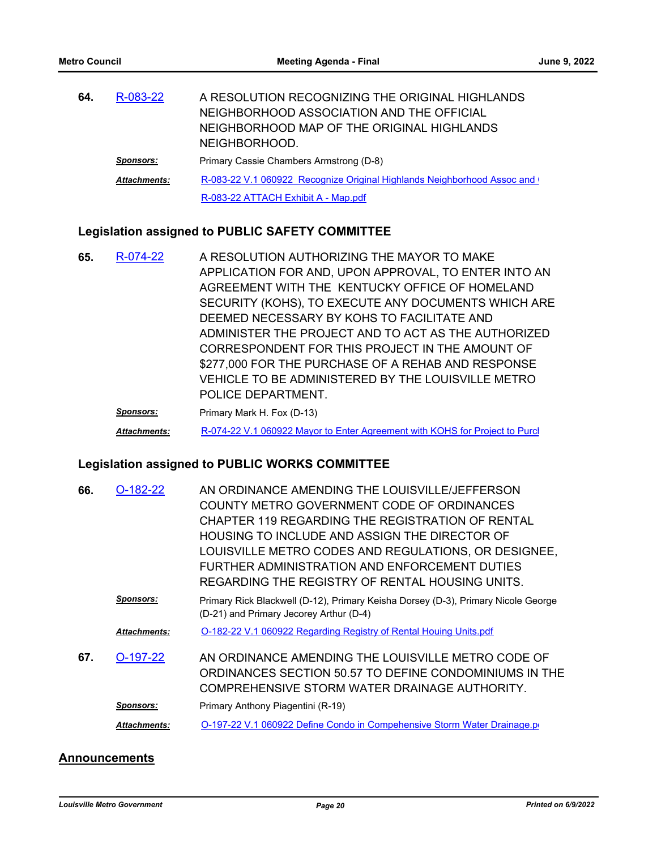| 64. | R-083-22            | A RESOLUTION RECOGNIZING THE ORIGINAL HIGHLANDS                           |
|-----|---------------------|---------------------------------------------------------------------------|
|     |                     | NEIGHBORHOOD ASSOCIATION AND THE OFFICIAL                                 |
|     |                     | NEIGHBORHOOD MAP OF THE ORIGINAL HIGHLANDS                                |
|     |                     | NEIGHBORHOOD.                                                             |
|     | <b>Sponsors:</b>    | Primary Cassie Chambers Armstrong (D-8)                                   |
|     | <b>Attachments:</b> | R-083-22 V.1 060922 Recognize Original Highlands Neighborhood Assoc and ( |
|     |                     | R-083-22 ATTACH Exhibit A - Map.pdf                                       |

### **Legislation assigned to PUBLIC SAFETY COMMITTEE**

A RESOLUTION AUTHORIZING THE MAYOR TO MAKE APPLICATION FOR AND, UPON APPROVAL, TO ENTER INTO AN AGREEMENT WITH THE KENTUCKY OFFICE OF HOMELAND SECURITY (KOHS), TO EXECUTE ANY DOCUMENTS WHICH ARE DEEMED NECESSARY BY KOHS TO FACILITATE AND ADMINISTER THE PROJECT AND TO ACT AS THE AUTHORIZED CORRESPONDENT FOR THIS PROJECT IN THE AMOUNT OF \$277,000 FOR THE PURCHASE OF A REHAB AND RESPONSE VEHICLE TO BE ADMINISTERED BY THE LOUISVILLE METRO POLICE DEPARTMENT. **65.** [R-074-22](http://louisville.legistar.com/gateway.aspx?m=l&id=/matter.aspx?key=60354) **Sponsors:** Primary Mark H. Fox (D-13)

Attachments: R-074-22 V.1 060922 Mayor to Enter Agreement with KOHS for Project to Purcl

### **Legislation assigned to PUBLIC WORKS COMMITTEE**

| 66. | O-182-22            | AN ORDINANCE AMENDING THE LOUISVILLE/JEFFERSON                                                                               |
|-----|---------------------|------------------------------------------------------------------------------------------------------------------------------|
|     |                     | COUNTY METRO GOVERNMENT CODE OF ORDINANCES                                                                                   |
|     |                     | CHAPTER 119 REGARDING THE REGISTRATION OF RENTAL                                                                             |
|     |                     | HOUSING TO INCLUDE AND ASSIGN THE DIRECTOR OF                                                                                |
|     |                     | LOUISVILLE METRO CODES AND REGULATIONS, OR DESIGNEE,                                                                         |
|     |                     | FURTHER ADMINISTRATION AND ENFORCEMENT DUTIES                                                                                |
|     |                     | REGARDING THE REGISTRY OF RENTAL HOUSING UNITS.                                                                              |
|     | Sponsors:           | Primary Rick Blackwell (D-12), Primary Keisha Dorsey (D-3), Primary Nicole George<br>(D-21) and Primary Jecorey Arthur (D-4) |
|     |                     | O-182-22 V.1 060922 Regarding Registry of Rental Houing Units.pdf                                                            |
|     | <b>Attachments:</b> |                                                                                                                              |
| 67. | $O-197-22$          | AN ORDINANCE AMENDING THE LOUISVILLE METRO CODE OF                                                                           |
|     |                     | ORDINANCES SECTION 50.57 TO DEFINE CONDOMINIUMS IN THE                                                                       |
|     |                     | COMPREHENSIVE STORM WATER DRAINAGE AUTHORITY.                                                                                |
|     | <b>Sponsors:</b>    | Primary Anthony Piagentini (R-19)                                                                                            |
|     | Attachments:        | O-197-22 V.1 060922 Define Condo in Compehensive Storm Water Drainage.pr                                                     |
|     |                     |                                                                                                                              |

### **Announcements**